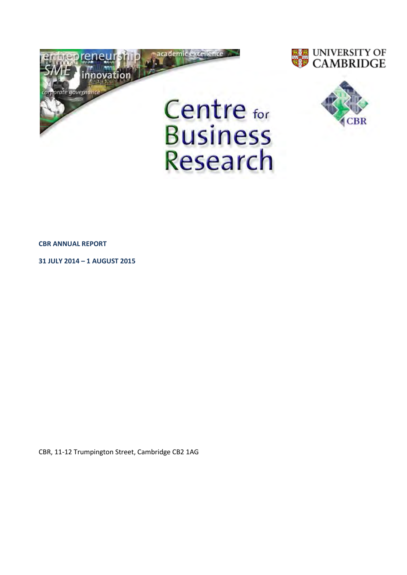

Research





**CBR ANNUAL REPORT**

**31 JULY 2014 – 1 AUGUST 2015**

CBR, 11-12 Trumpington Street, Cambridge CB2 1AG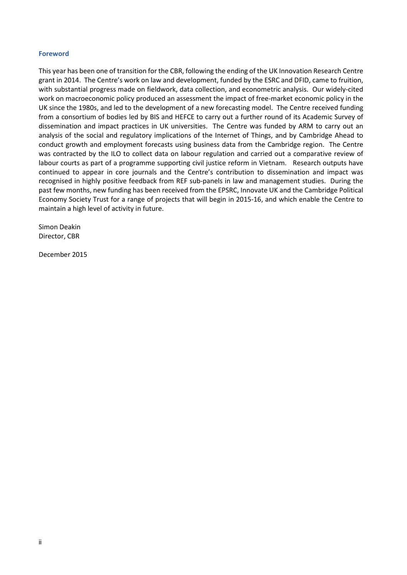## **Foreword**

This year has been one of transition for the CBR, following the ending of the UK Innovation Research Centre grant in 2014. The Centre's work on law and development, funded by the ESRC and DFID, came to fruition, with substantial progress made on fieldwork, data collection, and econometric analysis. Our widely-cited work on macroeconomic policy produced an assessment the impact of free-market economic policy in the UK since the 1980s, and led to the development of a new forecasting model. The Centre received funding from a consortium of bodies led by BIS and HEFCE to carry out a further round of its Academic Survey of dissemination and impact practices in UK universities. The Centre was funded by ARM to carry out an analysis of the social and regulatory implications of the Internet of Things, and by Cambridge Ahead to conduct growth and employment forecasts using business data from the Cambridge region. The Centre was contracted by the ILO to collect data on labour regulation and carried out a comparative review of labour courts as part of a programme supporting civil justice reform in Vietnam. Research outputs have continued to appear in core journals and the Centre's contribution to dissemination and impact was recognised in highly positive feedback from REF sub-panels in law and management studies. During the past few months, new funding has been received from the EPSRC, Innovate UK and the Cambridge Political Economy Society Trust for a range of projects that will begin in 2015-16, and which enable the Centre to maintain a high level of activity in future.

Simon Deakin Director, CBR

December 2015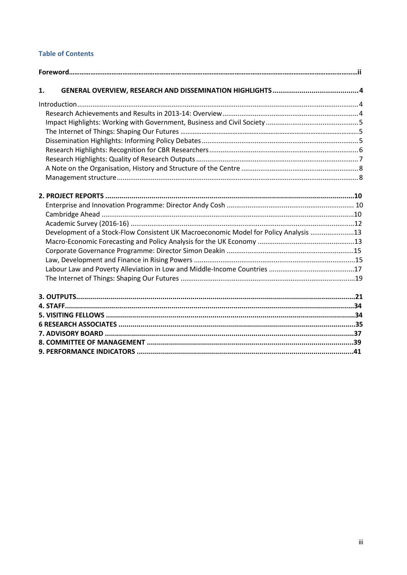## **Table of Contents**

| 1.                                                                                   |  |
|--------------------------------------------------------------------------------------|--|
|                                                                                      |  |
|                                                                                      |  |
|                                                                                      |  |
|                                                                                      |  |
|                                                                                      |  |
|                                                                                      |  |
|                                                                                      |  |
|                                                                                      |  |
|                                                                                      |  |
|                                                                                      |  |
|                                                                                      |  |
|                                                                                      |  |
|                                                                                      |  |
| Development of a Stock-Flow Consistent UK Macroeconomic Model for Policy Analysis 13 |  |
|                                                                                      |  |
|                                                                                      |  |
|                                                                                      |  |
|                                                                                      |  |
|                                                                                      |  |
|                                                                                      |  |
|                                                                                      |  |
|                                                                                      |  |
|                                                                                      |  |
|                                                                                      |  |
|                                                                                      |  |
|                                                                                      |  |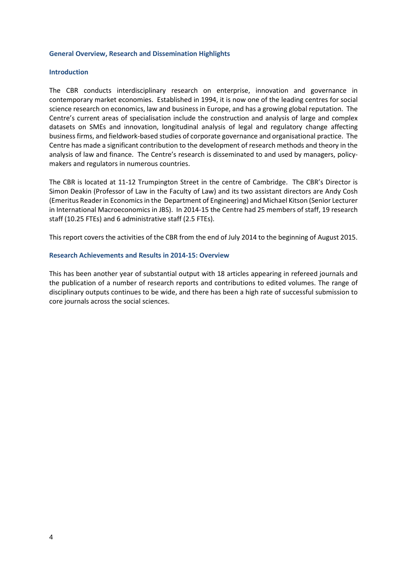## <span id="page-3-0"></span>**General Overview, Research and Dissemination Highlights**

## <span id="page-3-1"></span>**Introduction**

The CBR conducts interdisciplinary research on enterprise, innovation and governance in contemporary market economies. Established in 1994, it is now one of the leading centres for social science research on economics, law and business in Europe, and has a growing global reputation. The Centre's current areas of specialisation include the construction and analysis of large and complex datasets on SMEs and innovation, longitudinal analysis of legal and regulatory change affecting business firms, and fieldwork-based studies of corporate governance and organisational practice. The Centre has made a significant contribution to the development of research methods and theory in the analysis of law and finance. The Centre's research is disseminated to and used by managers, policymakers and regulators in numerous countries.

The CBR is located at 11-12 Trumpington Street in the centre of Cambridge. The CBR's Director is Simon Deakin (Professor of Law in the Faculty of Law) and its two assistant directors are Andy Cosh (Emeritus Reader in Economics in the Department of Engineering) and Michael Kitson (Senior Lecturer in International Macroeconomics in JBS). In 2014-15 the Centre had 25 members of staff, 19 research staff (10.25 FTEs) and 6 administrative staff (2.5 FTEs).

This report covers the activities of the CBR from the end of July 2014 to the beginning of August 2015.

## <span id="page-3-2"></span>**Research Achievements and Results in 2014-15: Overview**

<span id="page-3-3"></span>This has been another year of substantial output with 18 articles appearing in refereed journals and the publication of a number of research reports and contributions to edited volumes. The range of disciplinary outputs continues to be wide, and there has been a high rate of successful submission to core journals across the social sciences.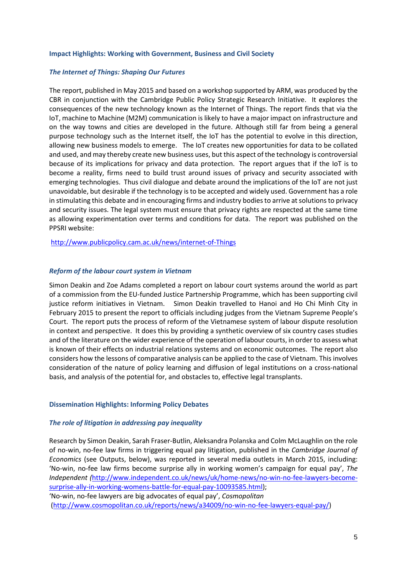#### **Impact Highlights: Working with Government, Business and Civil Society**

## *The Internet of Things: Shaping Our Futures*

The report, published in May 2015 and based on a workshop supported by ARM, was produced by the CBR in conjunction with the Cambridge Public Policy Strategic Research Initiative. It explores the consequences of the new technology known as the Internet of Things. The report finds that via the IoT, machine to Machine (M2M) communication is likely to have a major impact on infrastructure and on the way towns and cities are developed in the future. Although still far from being a general purpose technology such as the Internet itself, the IoT has the potential to evolve in this direction, allowing new business models to emerge. The IoT creates new opportunities for data to be collated and used, and may thereby create new business uses, but this aspect of the technology is controversial because of its implications for privacy and data protection. The report argues that if the IoT is to become a reality, firms need to build trust around issues of privacy and security associated with emerging technologies. Thus civil dialogue and debate around the implications of the IoT are not just unavoidable, but desirable if the technology is to be accepted and widely used. Government has a role in stimulating this debate and in encouraging firms and industry bodies to arrive at solutions to privacy and security issues. The legal system must ensure that privacy rights are respected at the same time as allowing experimentation over terms and conditions for data. The report was published on the PPSRI website:

<http://www.publicpolicy.cam.ac.uk/news/internet-of-Things>

## *Reform of the labour court system in Vietnam*

Simon Deakin and Zoe Adams completed a report on labour court systems around the world as part of a commission from the EU-funded Justice Partnership Programme, which has been supporting civil justice reform initiatives in Vietnam. Simon Deakin travelled to Hanoi and Ho Chi Minh City in February 2015 to present the report to officials including judges from the Vietnam Supreme People's Court. The report puts the process of reform of the Vietnamese system of labour dispute resolution in context and perspective. It does this by providing a synthetic overview of six country cases studies and of the literature on the wider experience of the operation of labour courts, in order to assess what is known of their effects on industrial relations systems and on economic outcomes. The report also considers how the lessons of comparative analysis can be applied to the case of Vietnam. This involves consideration of the nature of policy learning and diffusion of legal institutions on a cross-national basis, and analysis of the potential for, and obstacles to, effective legal transplants.

#### <span id="page-4-0"></span>**Dissemination Highlights: Informing Policy Debates**

#### *The role of litigation in addressing pay inequality*

Research by Simon Deakin, Sarah Fraser-Butlin, Aleksandra Polanska and Colm McLaughlin on the role of no-win, no-fee law firms in triggering equal pay litigation, published in the *Cambridge Journal of Economics* (see Outputs, below), was reported in several media outlets in March 2015, including: 'No-win, no-fee law firms become surprise ally in working women's campaign for equal pay', *The Independent (*[http://www.independent.co.uk/news/uk/home-news/no-win-no-fee-lawyers-become](http://www.independent.co.uk/news/uk/home-news/no-win-no-fee-lawyers-become-surprise-ally-in-working-womens-battle-for-equal-pay-10093585.html)[surprise-ally-in-working-womens-battle-for-equal-pay-10093585.html\)](http://www.independent.co.uk/news/uk/home-news/no-win-no-fee-lawyers-become-surprise-ally-in-working-womens-battle-for-equal-pay-10093585.html); 'No-win, no-fee lawyers are big advocates of equal pay', *Cosmopolitan*

[\(http://www.cosmopolitan.co.uk/reports/news/a34009/no-win-no-fee-lawyers-equal-pay/\)](http://www.cosmopolitan.co.uk/reports/news/a34009/no-win-no-fee-lawyers-equal-pay/)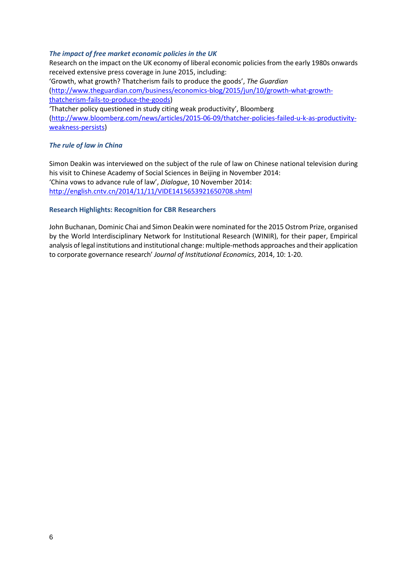## *The impact of free market economic policies in the UK*

Research on the impact on the UK economy of liberal economic policies from the early 1980s onwards received extensive press coverage in June 2015, including: 'Growth, what growth? Thatcherism fails to produce the goods', *The Guardian* [\(http://www.theguardian.com/business/economics-blog/2015/jun/10/growth-what-growth](http://www.theguardian.com/business/economics-blog/2015/jun/10/growth-what-growth-thatcherism-fails-to-produce-the-goods)[thatcherism-fails-to-produce-the-goods\)](http://www.theguardian.com/business/economics-blog/2015/jun/10/growth-what-growth-thatcherism-fails-to-produce-the-goods) 'Thatcher policy questioned in study citing weak productivity', Bloomberg

[\(http://www.bloomberg.com/news/articles/2015-06-09/thatcher-policies-failed-u-k-as-productivity](http://www.bloomberg.com/news/articles/2015-06-09/thatcher-policies-failed-u-k-as-productivity-weakness-persists)[weakness-persists\)](http://www.bloomberg.com/news/articles/2015-06-09/thatcher-policies-failed-u-k-as-productivity-weakness-persists)

## *The rule of law in China*

Simon Deakin was interviewed on the subject of the rule of law on Chinese national television during his visit to Chinese Academy of Social Sciences in Beijing in November 2014: 'China vows to advance rule of law', *Dialogue*, 10 November 2014: <http://english.cntv.cn/2014/11/11/VIDE1415653921650708.shtml>

## <span id="page-5-0"></span>**Research Highlights: Recognition for CBR Researchers**

<span id="page-5-1"></span>John Buchanan, Dominic Chai and Simon Deakin were nominated for the 2015 Ostrom Prize, organised by the World Interdisciplinary Network for Institutional Research (WINIR), for their paper, Empirical analysis of legal institutions and institutional change: multiple-methods approaches and their application to corporate governance research' *Journal of Institutional Economics*, 2014, 10: 1-20.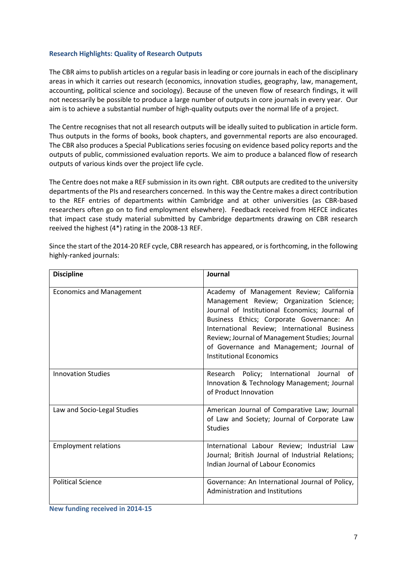## **Research Highlights: Quality of Research Outputs**

The CBR aims to publish articles on a regular basis in leading or core journals in each of the disciplinary areas in which it carries out research (economics, innovation studies, geography, law, management, accounting, political science and sociology). Because of the uneven flow of research findings, it will not necessarily be possible to produce a large number of outputs in core journals in every year. Our aim is to achieve a substantial number of high-quality outputs over the normal life of a project.

The Centre recognises that not all research outputs will be ideally suited to publication in article form. Thus outputs in the forms of books, book chapters, and governmental reports are also encouraged. The CBR also produces a Special Publications series focusing on evidence based policy reports and the outputs of public, commissioned evaluation reports. We aim to produce a balanced flow of research outputs of various kinds over the project life cycle.

The Centre does not make a REF submission in its own right. CBR outputs are credited to the university departments of the PIs and researchers concerned. In this way the Centre makes a direct contribution to the REF entries of departments within Cambridge and at other universities (as CBR-based researchers often go on to find employment elsewhere). Feedback received from HEFCE indicates that impact case study material submitted by Cambridge departments drawing on CBR research reeived the highest (4\*) rating in the 2008-13 REF.

| <b>Discipline</b>               | Journal                                                                                                                                                                                                                                                                                                                                                             |
|---------------------------------|---------------------------------------------------------------------------------------------------------------------------------------------------------------------------------------------------------------------------------------------------------------------------------------------------------------------------------------------------------------------|
| <b>Economics and Management</b> | Academy of Management Review; California<br>Management Review; Organization Science;<br>Journal of Institutional Economics; Journal of<br>Business Ethics; Corporate Governance: An<br>International Review; International Business<br>Review; Journal of Management Studies; Journal<br>of Governance and Management; Journal of<br><b>Institutional Economics</b> |
| <b>Innovation Studies</b>       | Research Policy; International Journal of<br>Innovation & Technology Management; Journal<br>of Product Innovation                                                                                                                                                                                                                                                   |
| Law and Socio-Legal Studies     | American Journal of Comparative Law; Journal<br>of Law and Society; Journal of Corporate Law<br><b>Studies</b>                                                                                                                                                                                                                                                      |
| <b>Employment relations</b>     | International Labour Review; Industrial Law<br>Journal; British Journal of Industrial Relations;<br><b>Indian Journal of Labour Economics</b>                                                                                                                                                                                                                       |
| <b>Political Science</b>        | Governance: An International Journal of Policy,<br>Administration and Institutions                                                                                                                                                                                                                                                                                  |

Since the start of the 2014-20 REF cycle, CBR research has appeared, or is forthcoming, in the following highly-ranked journals:

<span id="page-6-0"></span>**New funding received in 2014-15**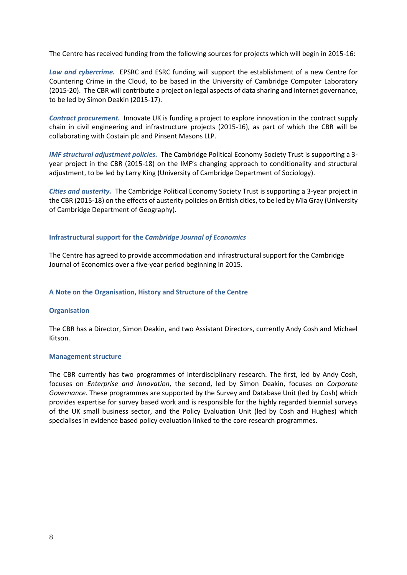The Centre has received funding from the following sources for projects which will begin in 2015-16:

*Law and cybercrime.* EPSRC and ESRC funding will support the establishment of a new Centre for Countering Crime in the Cloud, to be based in the University of Cambridge Computer Laboratory (2015-20). The CBR will contribute a project on legal aspects of data sharing and internet governance, to be led by Simon Deakin (2015-17).

*Contract procurement.* Innovate UK is funding a project to explore innovation in the contract supply chain in civil engineering and infrastructure projects (2015-16), as part of which the CBR will be collaborating with Costain plc and Pinsent Masons LLP.

*IMF structural adjustment policies.* The Cambridge Political Economy Society Trust is supporting a 3 year project in the CBR (2015-18) on the IMF's changing approach to conditionality and structural adjustment, to be led by Larry King (University of Cambridge Department of Sociology).

*Cities and austerity.* The Cambridge Political Economy Society Trust is supporting a 3-year project in the CBR (2015-18) on the effects of austerity policies on British cities, to be led by Mia Gray (University of Cambridge Department of Geography).

## **Infrastructural support for the** *Cambridge Journal of Economics*

The Centre has agreed to provide accommodation and infrastructural support for the Cambridge Journal of Economics over a five-year period beginning in 2015.

## **A Note on the Organisation, History and Structure of the Centre**

#### **Organisation**

The CBR has a Director, Simon Deakin, and two Assistant Directors, currently Andy Cosh and Michael Kitson.

#### <span id="page-7-0"></span>**Management structure**

The CBR currently has two programmes of interdisciplinary research. The first, led by Andy Cosh, focuses on *Enterprise and Innovation*, the second, led by Simon Deakin, focuses on *Corporate Governance*. These programmes are supported by the Survey and Database Unit (led by Cosh) which provides expertise for survey based work and is responsible for the highly regarded biennial surveys of the UK small business sector, and the Policy Evaluation Unit (led by Cosh and Hughes) which specialises in evidence based policy evaluation linked to the core research programmes.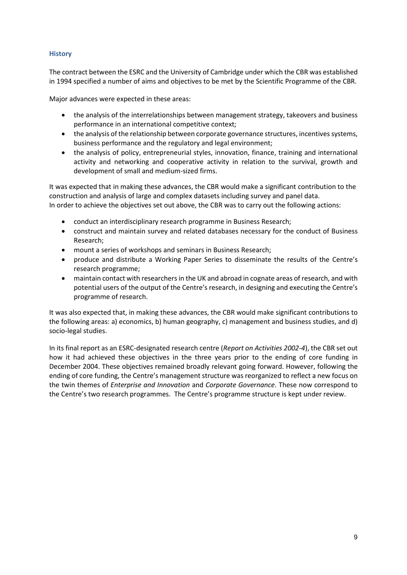## **History**

The contract between the ESRC and the University of Cambridge under which the CBR was established in 1994 specified a number of aims and objectives to be met by the Scientific Programme of the CBR.

Major advances were expected in these areas:

- the analysis of the interrelationships between management strategy, takeovers and business performance in an international competitive context;
- the analysis of the relationship between corporate governance structures, incentives systems, business performance and the regulatory and legal environment;
- the analysis of policy, entrepreneurial styles, innovation, finance, training and international activity and networking and cooperative activity in relation to the survival, growth and development of small and medium-sized firms.

It was expected that in making these advances, the CBR would make a significant contribution to the construction and analysis of large and complex datasets including survey and panel data. In order to achieve the objectives set out above, the CBR was to carry out the following actions:

- conduct an interdisciplinary research programme in Business Research;
- construct and maintain survey and related databases necessary for the conduct of Business Research;
- mount a series of workshops and seminars in Business Research;
- produce and distribute a Working Paper Series to disseminate the results of the Centre's research programme;
- maintain contact with researchers in the UK and abroad in cognate areas of research, and with potential users of the output of the Centre's research, in designing and executing the Centre's programme of research.

It was also expected that, in making these advances, the CBR would make significant contributions to the following areas: a) economics, b) human geography, c) management and business studies, and d) socio-legal studies.

In its final report as an ESRC-designated research centre (*Report on Activities 2002-4*), the CBR set out how it had achieved these objectives in the three years prior to the ending of core funding in December 2004. These objectives remained broadly relevant going forward. However, following the ending of core funding, the Centre's management structure was reorganized to reflect a new focus on the twin themes of *Enterprise and Innovation* and *Corporate Governance*. These now correspond to the Centre's two research programmes. The Centre's programme structure is kept under review.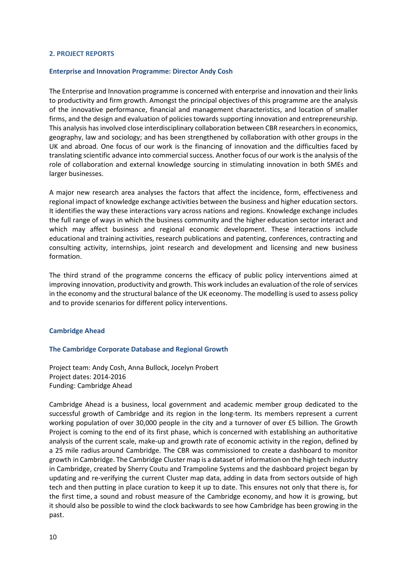#### **2. PROJECT REPORTS**

#### **Enterprise and Innovation Programme: Director Andy Cosh**

The Enterprise and Innovation programme is concerned with enterprise and innovation and their links to productivity and firm growth. Amongst the principal objectives of this programme are the analysis of the innovative performance, financial and management characteristics, and location of smaller firms, and the design and evaluation of policies towards supporting innovation and entrepreneurship. This analysis has involved close interdisciplinary collaboration between CBR researchers in economics, geography, law and sociology; and has been strengthened by collaboration with other groups in the UK and abroad. One focus of our work is the financing of innovation and the difficulties faced by translating scientific advance into commercial success. Another focus of our work is the analysis of the role of collaboration and external knowledge sourcing in stimulating innovation in both SMEs and larger businesses.

A major new research area analyses the factors that affect the incidence, form, effectiveness and regional impact of knowledge exchange activities between the business and higher education sectors. It identifies the way these interactions vary across nations and regions. Knowledge exchange includes the full range of ways in which the business community and the higher education sector interact and which may affect business and regional economic development. These interactions include educational and training activities, research publications and patenting, conferences, contracting and consulting activity, internships, joint research and development and licensing and new business formation.

The third strand of the programme concerns the efficacy of public policy interventions aimed at improving innovation, productivity and growth. This work includes an evaluation of the role of services in the economy and the structural balance of the UK eceonomy. The modelling is used to assess policy and to provide scenarios for different policy interventions.

#### **Cambridge Ahead**

#### **The Cambridge Corporate Database and Regional Growth**

Project team: [Andy Cosh, Anna Bullock, Jocelyn Probert](http://www.cbr.cam.ac.uk/about_us/hughes.htm) Project dates: 2014-2016 Funding: Cambridge Ahead

Cambridge Ahead is a business, local government and academic member group dedicated to the successful growth of Cambridge and its region in the long-term. Its members represent a current working population of over 30,000 people in the city and a turnover of over £5 billion. The Growth Project is coming to the end of its first phase, which is concerned with establishing an authoritative analysis of the current scale, make-up and growth rate of economic activity in the region, defined by a 25 mile radius around Cambridge. The CBR was commissioned to create a dashboard to monitor growth in Cambridge. The Cambridge Cluster map is a dataset of information on the high tech industry in Cambridge, created by Sherry Coutu and Trampoline Systems and the dashboard project began by updating and re-verifying the current Cluster map data, adding in data from sectors outside of high tech and then putting in place curation to keep it up to date. This ensures not only that there is, for the first time, a sound and robust measure of the Cambridge economy, and how it is growing, but it should also be possible to wind the clock backwards to see how Cambridge has been growing in the past.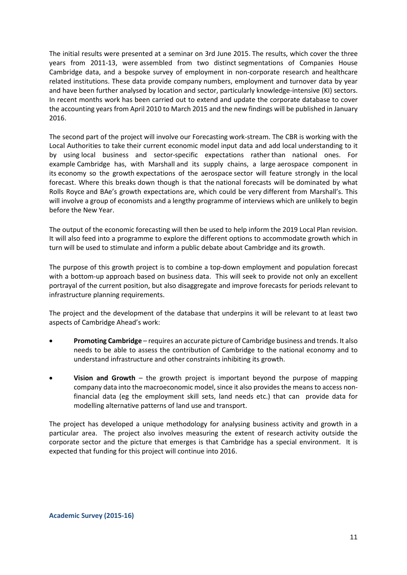The initial results were presented at a seminar on 3rd June 2015. The results, which cover the three years from 2011-13, were assembled from two distinct segmentations of Companies House Cambridge data, and a bespoke survey of employment in non-corporate research and healthcare related institutions. These data provide company numbers, employment and turnover data by year and have been further analysed by location and sector, particularly knowledge-intensive (KI) sectors. In recent months work has been carried out to extend and update the corporate database to cover the accounting years from April 2010 to March 2015 and the new findings will be published in January 2016.

The second part of the project will involve our Forecasting work-stream. The CBR is working with the Local Authorities to take their current economic model input data and add local understanding to it by using local business and sector-specific expectations rather than national ones. For example Cambridge has, with Marshall and its supply chains, a large aerospace component in its economy so the growth expectations of the aerospace sector will feature strongly in the local forecast. Where this breaks down though is that the national forecasts will be dominated by what Rolls Royce and BAe's growth expectations are, which could be very different from Marshall's. This will involve a group of economists and a lengthy programme of interviews which are unlikely to begin before the New Year.

The output of the economic forecasting will then be used to help inform the 2019 Local Plan revision. It will also feed into a programme to explore the different options to accommodate growth which in turn will be used to stimulate and inform a public debate about Cambridge and its growth.

The purpose of this growth project is to combine a top-down employment and population forecast with a bottom-up approach based on business data. This will seek to provide not only an excellent portrayal of the current position, but also disaggregate and improve forecasts for periods relevant to infrastructure planning requirements.

The project and the development of the database that underpins it will be relevant to at least two aspects of Cambridge Ahead's work:

- **Promoting Cambridge**  requires an accurate picture of Cambridge business and trends. It also needs to be able to assess the contribution of Cambridge to the national economy and to understand infrastructure and other constraints inhibiting its growth.
- **Vision and Growth**  the growth project is important beyond the purpose of mapping company data into the macroeconomic model, since it also provides the means to access nonfinancial data (eg the employment skill sets, land needs etc.) that can provide data for modelling alternative patterns of land use and transport.

The project has developed a unique methodology for analysing business activity and growth in a particular area. The project also involves measuring the extent of research activity outside the corporate sector and the picture that emerges is that Cambridge has a special environment. It is expected that funding for this project will continue into 2016.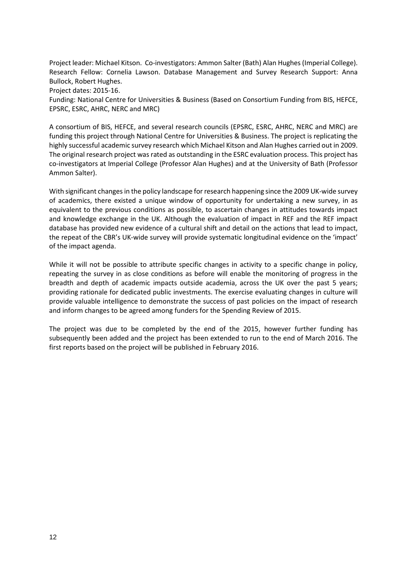Project leader: Michael Kitson. Co-investigators: Ammon Salter (Bath) Alan Hughes (Imperial College). Research Fellow: Cornelia Lawson. Database Management and Survey Research Support: Anna Bullock, Robert Hughes. Project dates: 2015-16.

Funding: National Centre for Universities & Business (Based on Consortium Funding from BIS, HEFCE, EPSRC, ESRC, AHRC, NERC and MRC)

A consortium of BIS, HEFCE, and several research councils (EPSRC, ESRC, AHRC, NERC and MRC) are funding this project through National Centre for Universities & Business. The project is replicating the highly successful academic survey research which Michael Kitson and Alan Hughes carried out in 2009. The original research project was rated as outstanding in the ESRC evaluation process. This project has co-investigators at Imperial College (Professor Alan Hughes) and at the University of Bath (Professor Ammon Salter).

With significant changes in the policy landscape for research happening since the 2009 UK-wide survey of academics, there existed a unique window of opportunity for undertaking a new survey, in as equivalent to the previous conditions as possible, to ascertain changes in attitudes towards impact and knowledge exchange in the UK. Although the evaluation of impact in REF and the REF impact database has provided new evidence of a cultural shift and detail on the actions that lead to impact, the repeat of the CBR's UK-wide survey will provide systematic longitudinal evidence on the 'impact' of the impact agenda.

While it will not be possible to attribute specific changes in activity to a specific change in policy, repeating the survey in as close conditions as before will enable the monitoring of progress in the breadth and depth of academic impacts outside academia, across the UK over the past 5 years; providing rationale for dedicated public investments. The exercise evaluating changes in culture will provide valuable intelligence to demonstrate the success of past policies on the impact of research and inform changes to be agreed among funders for the Spending Review of 2015.

The project was due to be completed by the end of the 2015, however further funding has subsequently been added and the project has been extended to run to the end of March 2016. The first reports based on the project will be published in February 2016.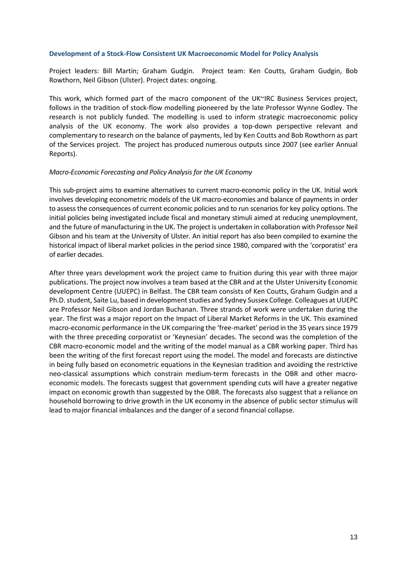#### **Development of a Stock-Flow Consistent UK Macroeconomic Model for Policy Analysis**

Project leaders: Bill Martin; Graham Gudgin. Project team: Ken Coutts, Graham Gudgin, Bob Rowthorn, Neil Gibson (Ulster). Project dates: ongoing.

This work, which formed part of the macro component of the UK~IRC Business Services project, follows in the tradition of stock-flow modelling pioneered by the late Professor Wynne Godley. The research is not publicly funded. The modelling is used to inform strategic macroeconomic policy analysis of the UK economy. The work also provides a top-down perspective relevant and complementary to research on the balance of payments, led by Ken Coutts and Bob Rowthorn as part of the Services project. The project has produced numerous outputs since 2007 (see earlier Annual Reports).

## *Macro-Economic Forecasting and Policy Analysis for the UK Economy*

This sub-project aims to examine alternatives to current macro-economic policy in the UK. Initial work involves developing econometric models of the UK macro-economies and balance of payments in order to assess the consequences of current economic policies and to run scenarios for key policy options. The initial policies being investigated include fiscal and monetary stimuli aimed at reducing unemployment, and the future of manufacturing in the UK. The project is undertaken in collaboration with Professor Neil Gibson and his team at the University of Ulster. An initial report has also been compiled to examine the historical impact of liberal market policies in the period since 1980, compared with the 'corporatist' era of earlier decades.

After three years development work the project came to fruition during this year with three major publications. The project now involves a team based at the CBR and at the Ulster University Economic development Centre (UUEPC) in Belfast. The CBR team consists of Ken Coutts, Graham Gudgin and a Ph.D. student, Saite Lu, based in development studies and Sydney Sussex College. Colleagues at UUEPC are Professor Neil Gibson and Jordan Buchanan. Three strands of work were undertaken during the year. The first was a major report on the Impact of Liberal Market Reforms in the UK. This examined macro-economic performance in the UK comparing the 'free-market' period in the 35 years since 1979 with the three preceding corporatist or 'Keynesian' decades. The second was the completion of the CBR macro-economic model and the writing of the model manual as a CBR working paper. Third has been the writing of the first forecast report using the model. The model and forecasts are distinctive in being fully based on econometric equations in the Keynesian tradition and avoiding the restrictive neo-classical assumptions which constrain medium-term forecasts in the OBR and other macroeconomic models. The forecasts suggest that government spending cuts will have a greater negative impact on economic growth than suggested by the OBR. The forecasts also suggest that a reliance on household borrowing to drive growth in the UK economy in the absence of public sector stimulus will lead to major financial imbalances and the danger of a second financial collapse.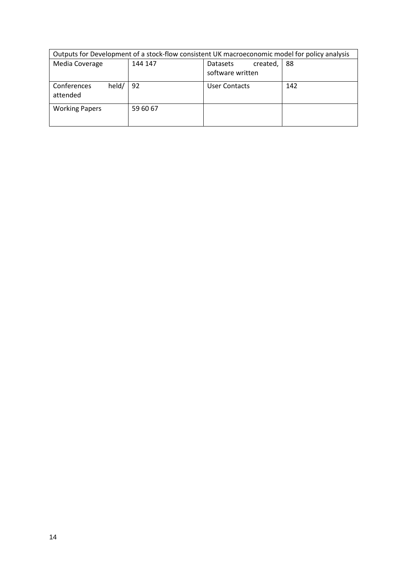| Outputs for Development of a stock-flow consistent UK macroeconomic model for policy analysis |                            |  |  |  |  |  |  |  |  |  |  |  |
|-----------------------------------------------------------------------------------------------|----------------------------|--|--|--|--|--|--|--|--|--|--|--|
| Media Coverage<br>144 147<br>88<br><b>Datasets</b><br>created,                                |                            |  |  |  |  |  |  |  |  |  |  |  |
|                                                                                               | software written           |  |  |  |  |  |  |  |  |  |  |  |
| held/<br>Conferences<br>attended                                                              | 92<br>142<br>User Contacts |  |  |  |  |  |  |  |  |  |  |  |
| <b>Working Papers</b><br>59 60 67                                                             |                            |  |  |  |  |  |  |  |  |  |  |  |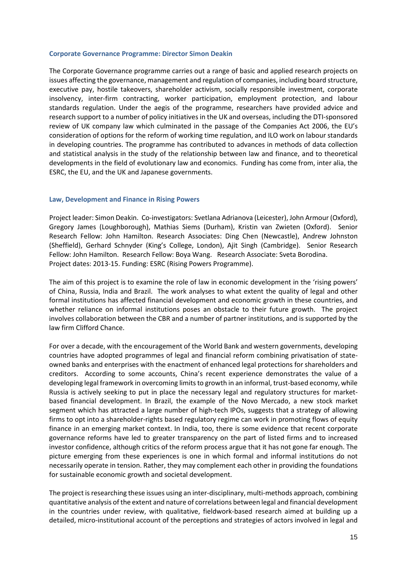#### **Corporate Governance Programme: Director Simon Deakin**

The Corporate Governance programme carries out a range of basic and applied research projects on issues affecting the governance, management and regulation of companies, including board structure, executive pay, hostile takeovers, shareholder activism, socially responsible investment, corporate insolvency, inter-firm contracting, worker participation, employment protection, and labour standards regulation. Under the aegis of the programme, researchers have provided advice and research support to a number of policy initiatives in the UK and overseas, including the DTI-sponsored review of UK company law which culminated in the passage of the Companies Act 2006, the EU's consideration of options for the reform of working time regulation, and ILO work on labour standards in developing countries. The programme has contributed to advances in methods of data collection and statistical analysis in the study of the relationship between law and finance, and to theoretical developments in the field of evolutionary law and economics. Funding has come from, inter alia, the ESRC, the EU, and the UK and Japanese governments.

## **Law, Development and Finance in Rising Powers**

Project leader: Simon Deakin. Co-investigators: Svetlana Adrianova (Leicester), John Armour (Oxford), Gregory James (Loughborough), Mathias Siems (Durham), Kristin van Zwieten (Oxford). Senior Research Fellow: John Hamilton. Research Associates: Ding Chen (Newcastle), Andrew Johnston (Sheffield), Gerhard Schnyder (King's College, London), Ajit Singh (Cambridge). Senior Research Fellow: John Hamilton. Research Fellow: Boya Wang. Research Associate: Sveta Borodina. Project dates: 2013-15. Funding: ESRC (Rising Powers Programme).

The aim of this project is to examine the role of law in economic development in the 'rising powers' of China, Russia, India and Brazil. The work analyses to what extent the quality of legal and other formal institutions has affected financial development and economic growth in these countries, and whether reliance on informal institutions poses an obstacle to their future growth. The project involves collaboration between the CBR and a number of partner institutions, and is supported by the law firm Clifford Chance.

For over a decade, with the encouragement of the World Bank and western governments, developing countries have adopted programmes of legal and financial reform combining privatisation of stateowned banks and enterprises with the enactment of enhanced legal protections for shareholders and creditors. According to some accounts, China's recent experience demonstrates the value of a developing legal framework in overcoming limits to growth in an informal, trust-based economy, while Russia is actively seeking to put in place the necessary legal and regulatory structures for marketbased financial development. In Brazil, the example of the Novo Mercado, a new stock market segment which has attracted a large number of high-tech IPOs, suggests that a strategy of allowing firms to opt into a shareholder-rights based regulatory regime can work in promoting flows of equity finance in an emerging market context. In India, too, there is some evidence that recent corporate governance reforms have led to greater transparency on the part of listed firms and to increased investor confidence, although critics of the reform process argue that it has not gone far enough. The picture emerging from these experiences is one in which formal and informal institutions do not necessarily operate in tension. Rather, they may complement each other in providing the foundations for sustainable economic growth and societal development.

The project is researching these issues using an inter-disciplinary, multi-methods approach, combining quantitative analysis of the extent and nature of correlations between legal and financial development in the countries under review, with qualitative, fieldwork-based research aimed at building up a detailed, micro-institutional account of the perceptions and strategies of actors involved in legal and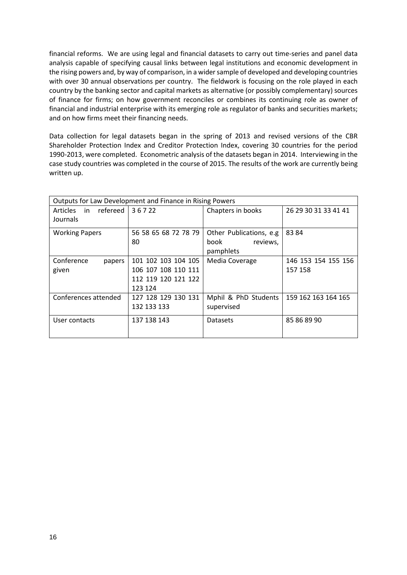financial reforms. We are using legal and financial datasets to carry out time-series and panel data analysis capable of specifying causal links between legal institutions and economic development in the rising powers and, by way of comparison, in a wider sample of developed and developing countries with over 30 annual observations per country. The fieldwork is focusing on the role played in each country by the banking sector and capital markets as alternative (or possibly complementary) sources of finance for firms; on how government reconciles or combines its continuing role as owner of financial and industrial enterprise with its emerging role as regulator of banks and securities markets; and on how firms meet their financing needs.

Data collection for legal datasets began in the spring of 2013 and revised versions of the CBR Shareholder Protection Index and Creditor Protection Index, covering 30 countries for the period 1990-2013, were completed. Econometric analysis of the datasets began in 2014. Interviewing in the case study countries was completed in the course of 2015. The results of the work are currently being written up.

| Outputs for Law Development and Finance in Rising Powers |                      |                          |                     |
|----------------------------------------------------------|----------------------|--------------------------|---------------------|
| refereed<br><b>Articles</b><br>in                        | 36722                | 26 29 30 31 33 41 41     |                     |
| Journals                                                 |                      |                          |                     |
| <b>Working Papers</b>                                    | 56 58 65 68 72 78 79 | Other Publications, e.g. | 8384                |
|                                                          | 80                   | book<br>reviews,         |                     |
|                                                          |                      | pamphlets                |                     |
| Conference<br>papers                                     | 101 102 103 104 105  | Media Coverage           | 146 153 154 155 156 |
| given                                                    | 106 107 108 110 111  |                          | 157 158             |
|                                                          | 112 119 120 121 122  |                          |                     |
|                                                          | 123 124              |                          |                     |
| Conferences attended                                     | 127 128 129 130 131  | Mphil & PhD Students     | 159 162 163 164 165 |
|                                                          | 132 133 133          | supervised               |                     |
| User contacts                                            | 137 138 143          | <b>Datasets</b>          | 85 86 89 90         |
|                                                          |                      |                          |                     |
|                                                          |                      |                          |                     |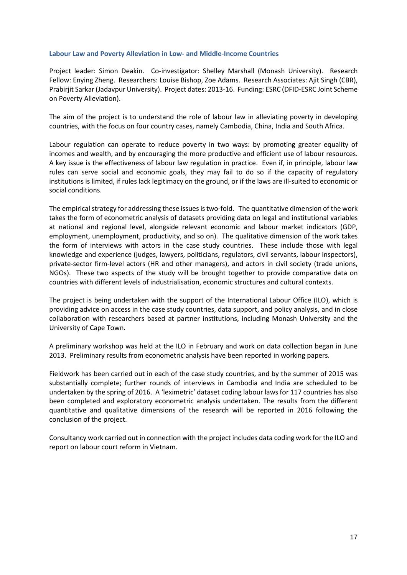## **Labour Law and Poverty Alleviation in Low- and Middle-Income Countries**

Project leader: Simon Deakin. Co-investigator: Shelley Marshall (Monash University). Research Fellow: Enying Zheng. Researchers: Louise Bishop, Zoe Adams. Research Associates: Ajit Singh (CBR), Prabirjit Sarkar (Jadavpur University). Project dates: 2013-16. Funding: ESRC (DFID-ESRC Joint Scheme on Poverty Alleviation).

The aim of the project is to understand the role of labour law in alleviating poverty in developing countries, with the focus on four country cases, namely Cambodia, China, India and South Africa.

Labour regulation can operate to reduce poverty in two ways: by promoting greater equality of incomes and wealth, and by encouraging the more productive and efficient use of labour resources. A key issue is the effectiveness of labour law regulation in practice. Even if, in principle, labour law rules can serve social and economic goals, they may fail to do so if the capacity of regulatory institutions is limited, if rules lack legitimacy on the ground, or if the laws are ill-suited to economic or social conditions.

The empirical strategy for addressing these issues is two-fold. The quantitative dimension of the work takes the form of econometric analysis of datasets providing data on legal and institutional variables at national and regional level, alongside relevant economic and labour market indicators (GDP, employment, unemployment, productivity, and so on). The qualitative dimension of the work takes the form of interviews with actors in the case study countries. These include those with legal knowledge and experience (judges, lawyers, politicians, regulators, civil servants, labour inspectors), private-sector firm-level actors (HR and other managers), and actors in civil society (trade unions, NGOs). These two aspects of the study will be brought together to provide comparative data on countries with different levels of industrialisation, economic structures and cultural contexts.

The project is being undertaken with the support of the International Labour Office (ILO), which is providing advice on access in the case study countries, data support, and policy analysis, and in close collaboration with researchers based at partner institutions, including Monash University and the University of Cape Town.

A preliminary workshop was held at the ILO in February and work on data collection began in June 2013. Preliminary results from econometric analysis have been reported in working papers.

Fieldwork has been carried out in each of the case study countries, and by the summer of 2015 was substantially complete; further rounds of interviews in Cambodia and India are scheduled to be undertaken by the spring of 2016. A 'leximetric' dataset coding labour laws for 117 countries has also been completed and exploratory econometric analysis undertaken. The results from the different quantitative and qualitative dimensions of the research will be reported in 2016 following the conclusion of the project.

Consultancy work carried out in connection with the project includes data coding work for the ILO and report on labour court reform in Vietnam.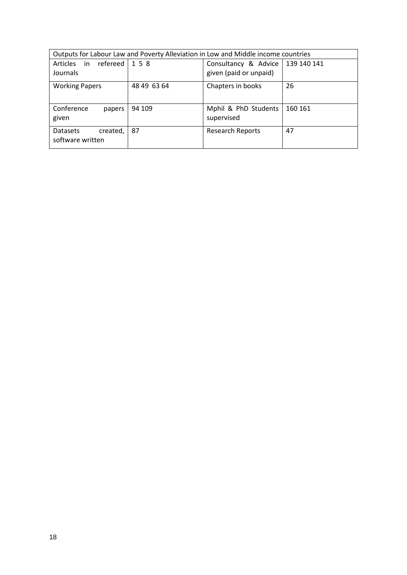| Outputs for Labour Law and Poverty Alleviation in Low and Middle income countries |             |                                                              |         |  |  |  |  |  |  |  |  |  |
|-----------------------------------------------------------------------------------|-------------|--------------------------------------------------------------|---------|--|--|--|--|--|--|--|--|--|
| refereed l<br>Articles<br>in<br>Journals                                          | 158         | Consultancy & Advice   139 140 141<br>given (paid or unpaid) |         |  |  |  |  |  |  |  |  |  |
| <b>Working Papers</b>                                                             | 48 49 63 64 | Chapters in books                                            | 26      |  |  |  |  |  |  |  |  |  |
| Conference<br>papers<br>given                                                     | 94 109      | Mphil & PhD Students<br>supervised                           | 160 161 |  |  |  |  |  |  |  |  |  |
| <b>Datasets</b><br>created,<br>software written                                   | 87          | <b>Research Reports</b>                                      | 47      |  |  |  |  |  |  |  |  |  |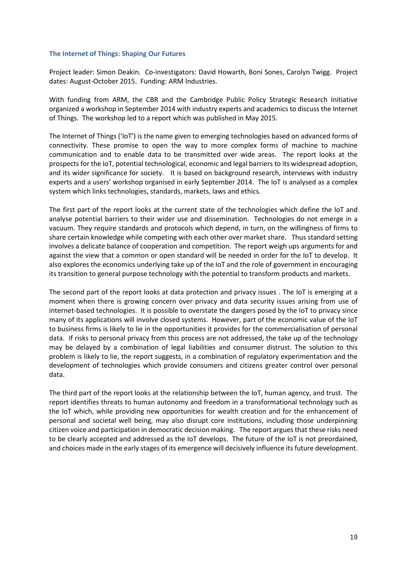## **The Internet of Things: Shaping Our Futures**

Project leader: Simon Deakin. Co-investigators: David Howarth, Boni Sones, Carolyn Twigg. Project dates: August-October 2015. Funding: ARM Industries.

With funding from ARM, the CBR and the Cambridge Public Policy Strategic Research Initiative organized a workshop in September 2014 with industry experts and academics to discuss the Internet of Things. The workshop led to a report which was published in May 2015.

The Internet of Things ('IoT') is the name given to emerging technologies based on advanced forms of connectivity. These promise to open the way to more complex forms of machine to machine communication and to enable data to be transmitted over wide areas. The report looks at the prospects for the IoT, potential technological, economic and legal barriers to its widespread adoption, and its wider significance for society. It is based on background research, interviews with industry experts and a users' workshop organised in early September 2014. The IoT is analysed as a complex system which links technologies, standards, markets, laws and ethics.

The first part of the report looks at the current state of the technologies which define the IoT and analyse potential barriers to their wider use and dissemination. Technologies do not emerge in a vacuum. They require standards and protocols which depend, in turn, on the willingness of firms to share certain knowledge while competing with each other over market share. Thus standard setting involves a delicate balance of cooperation and competition. The report weigh ups arguments for and against the view that a common or open standard will be needed in order for the IoT to develop. It also explores the economics underlying take up of the IoT and the role of government in encouraging its transition to general purpose technology with the potential to transform products and markets.

The second part of the report looks at data protection and privacy issues . The IoT is emerging at a moment when there is growing concern over privacy and data security issues arising from use of internet-based technologies. It is possible to overstate the dangers posed by the IoT to privacy since many of its applications will involve closed systems. However, part of the economic value of the IoT to business firms is likely to lie in the opportunities it provides for the commercialisation of personal data. If risks to personal privacy from this process are not addressed, the take up of the technology may be delayed by a combination of legal liabilities and consumer distrust. The solution to this problem is likely to lie, the report suggests, in a combination of regulatory experimentation and the development of technologies which provide consumers and citizens greater control over personal data.

The third part of the report looks at the relationship between the IoT, human agency, and trust. The report identifies threats to human autonomy and freedom in a transformational technology such as the IoT which, while providing new opportunities for wealth creation and for the enhancement of personal and societal well being, may also disrupt core institutions, including those underpinning citizen voice and participation in democratic decision making. The report argues that these risks need to be clearly accepted and addressed as the IoT develops. The future of the IoT is not preordained, and choices made in the early stages of its emergence will decisively influence its future development.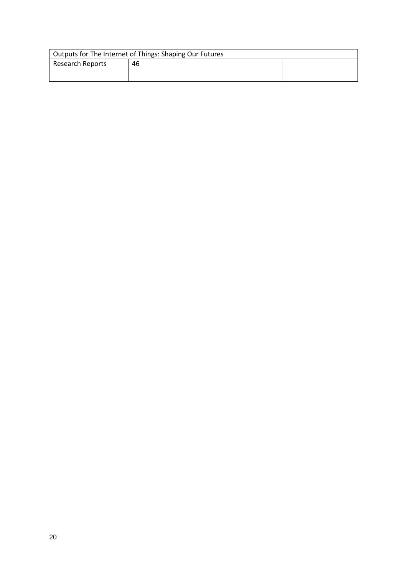| Outputs for The Internet of Things: Shaping Our Futures |    |  |  |  |  |  |  |  |  |  |  |
|---------------------------------------------------------|----|--|--|--|--|--|--|--|--|--|--|
| <b>Research Reports</b>                                 | 46 |  |  |  |  |  |  |  |  |  |  |
|                                                         |    |  |  |  |  |  |  |  |  |  |  |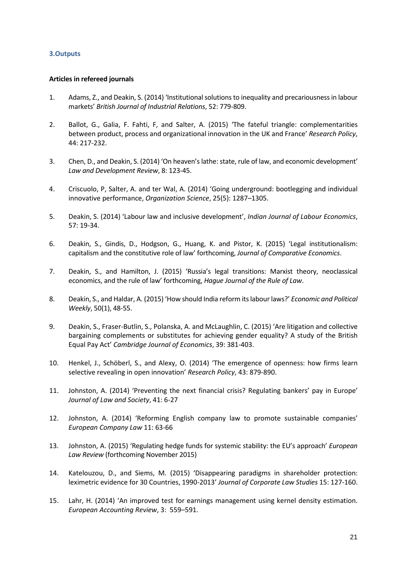## **3.Outputs**

## **Articles in refereed journals**

- <span id="page-20-3"></span>1. Adams, Z., and Deakin, S. (2014) 'Institutional solutions to inequality and precariousness in labour markets' *British Journal of Industrial Relations*, 52: 779-809.
- 2. Ballot, G., Galia, F. Fahti, F, and Salter, A. (2015) 'The fateful triangle: complementarities between product, process and organizational innovation in the UK and France' *Research Policy*, 44: 217-232.
- <span id="page-20-0"></span>3. Chen, D., and Deakin, S. (2014) 'On heaven's lathe: state, rule of law, and economic development' *Law and Development Review*, 8: 123-45.
- 4. Criscuolo, P, Salter, A. and ter Wal, A. (2014) 'Going underground: bootlegging and individual innovative performance, *Organization Science*, 25(5): 1287–1305.
- <span id="page-20-4"></span>5. Deakin, S. (2014) 'Labour law and inclusive development', *Indian Journal of Labour Economics*, 57: 19-34.
- <span id="page-20-1"></span>6. Deakin, S., Gindis, D., Hodgson, G., Huang, K. and Pistor, K. (2015) 'Legal institutionalism: capitalism and the constitutive role of law' forthcoming, *Journal of Comparative Economics*.
- <span id="page-20-2"></span>7. Deakin, S., and Hamilton, J. (2015) 'Russia's legal transitions: Marxist theory, neoclassical economics, and the rule of law' forthcoming, *Hague Journal of the Rule of Law*.
- <span id="page-20-5"></span>8. Deakin, S., and Haldar, A. (2015) 'How should India reform its labour laws?' *Economic and Political Weekly*, 50(1), 48-55.
- 9. Deakin, S., Fraser-Butlin, S., Polanska, A. and McLaughlin, C. (2015) 'Are litigation and collective bargaining complements or substitutes for achieving gender equality? A study of the British Equal Pay Act' *Cambridge Journal of Economics*, 39: 381-403.
- 10. Henkel, J., Schöberl, S., and Alexy, O. (2014) 'The emergence of openness: how firms learn selective revealing in open innovation' *Research Policy*, 43: 879-890.
- 11. Johnston, A. (2014) 'Preventing the next financial crisis? Regulating bankers' pay in Europe' *Journal of Law and Society*, 41: 6-27
- 12. Johnston, A. (2014) 'Reforming English company law to promote sustainable companies' *European Company Law* 11: 63-66
- 13. Johnston, A. (2015) 'Regulating hedge funds for systemic stability: the EU's approach' *European Law Review* (forthcoming November 2015)
- 14. Katelouzou, D., and Siems, M. (2015) 'Disappearing paradigms in shareholder protection: leximetric evidence for 30 Countries, 1990-2013' *Journal of Corporate Law Studies* 15: 127-160.
- 15. Lahr, H. (2014) 'An improved test for earnings management using kernel density estimation. *European Accounting Review*, 3: 559–591.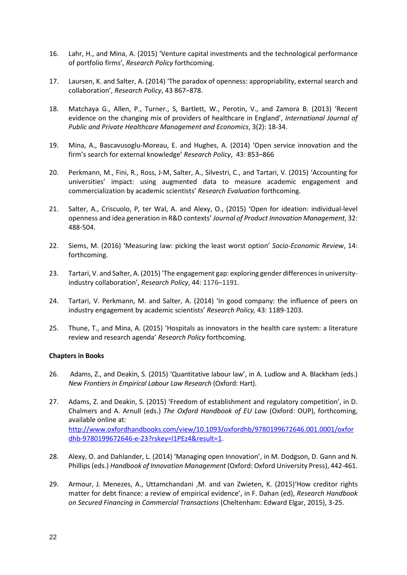- 16. Lahr, H., and Mina, A. (2015) 'Venture capital investments and the technological performance of portfolio firms', *Research Policy* forthcoming.
- 17. Laursen, K. and Salter, A. (2014) 'The paradox of openness: appropriability, external search and collaboration', *Research Policy*, 43 867–878.
- 18. Matchaya G., Allen, P., Turner., S, Bartlett, W., Perotin, V., and Zamora B. (2013) 'Recent evidence on the changing mix of providers of healthcare in England', *International Journal of Public and Private Healthcare Management and Economics*, 3(2): 18-34.
- 19. Mina, A., Bascavusoglu-Moreau, E. and Hughes, A. (2014) 'Open service innovation and the firm's search for external knowledge' *Research Policy*, 43: 853–866
- 20. Perkmann, M., Fini, R., Ross, J-M, Salter, A., Silvestri, C., and Tartari, V. (2015) 'Accounting for universities' impact: using augmented data to measure academic engagement and commercialization by academic scientists' *Research Evaluation* forthcoming.
- 21. Salter, A., Criscuolo, P, ter Wal, A. and Alexy, O., (2015) 'Open for ideation: individual-level openness and idea generation in R&D contexts' *Journal of Product Innovation Management*, 32: 488-504.
- <span id="page-21-0"></span>22. Siems, M. (2016) 'Measuring law: picking the least worst option' *Socio-Economic Review*, 14: forthcoming.
- 23. Tartari, V. and Salter, A. (2015) 'The engagement gap: exploring gender differences in universityindustry collaboration', *Research Policy*[, 44:](http://www.sciencedirect.com/science/journal/00487333/44/6) 1176–1191.
- 24. Tartari, V. Perkmann, M. and Salter, A. (2014) 'In good company: the influence of peers on industry engagement by academic scientists' *Research Policy,* 43: 1189-1203.
- 25. Thune, T., and Mina, A. (2015) 'Hospitals as innovators in the health care system: a literature review and research agenda' *Research Policy* forthcoming.

## **Chapters in Books**

- <span id="page-21-1"></span>26. Adams, Z., and Deakin, S. (2015) 'Quantitative labour law', in A. Ludlow and A. Blackham (eds.) *New Frontiers in Empirical Labour Law Research* (Oxford: Hart).
- 27. Adams, Z. and Deakin, S. (2015) 'Freedom of establishment and regulatory competition', in D. Chalmers and A. Arnull (eds.) *The Oxford Handbook of EU Law* (Oxford: OUP), forthcoming, available online at: [http://www.oxfordhandbooks.com/view/10.1093/oxfordhb/9780199672646.001.0001/oxfor](http://www.oxfordhandbooks.com/view/10.1093/oxfordhb/9780199672646.001.0001/oxfordhb-9780199672646-e-23?rskey=l1PEz4&result=1) [dhb-9780199672646-e-23?rskey=l1PEz4&result=1.](http://www.oxfordhandbooks.com/view/10.1093/oxfordhb/9780199672646.001.0001/oxfordhb-9780199672646-e-23?rskey=l1PEz4&result=1)
- 28. Alexy, O. and Dahlander, L. (2014) 'Managing open Innovation', in M. Dodgson, D. Gann and N. Phillips (eds.) *Handbook of Innovation Management* (Oxford: Oxford University Press), 442-461.
- <span id="page-21-2"></span>29. Armour, J. Menezes, A., Uttamchandani ,M. and van Zwieten, K. (2015)'How creditor rights matter for debt finance: a review of empirical evidence', in F. Dahan (ed), *Research Handbook on Secured Financing in Commercial Transactions* (Cheltenham: Edward Elgar, 2015), 3-25.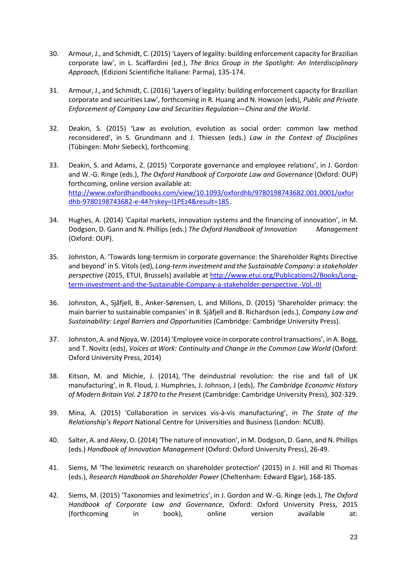- <span id="page-22-0"></span>30. Armour, J., and Schmidt, C. (2015) 'Layers of legality: building enforcement capacity for Brazilian corporate law', in L. Scaffardini (ed.), *The Brics Group in the Spotlight: An Interdisciplinary Approach,* (Edizioni Scientifiche Italiane: Parma), 135-174.
- <span id="page-22-1"></span>31. Armour, J., and Schmidt, C. (2016) 'Layers of legality: building enforcement capacity for Brazilian corporate and securities Law', forthcoming in R. Huang and N. Howson (eds), *Public and Private Enforcement of Company Law and Securities Regulation—China and the World*.
- 32. Deakin, S. (2015) 'Law as evolution, evolution as social order: common law method reconsidered', in S. Grundmann and J. Thiessen (eds.) *Law in the Context of Disciplines*  (Tübingen: Mohr Siebeck), forthcoming.
- <span id="page-22-2"></span>33. Deakin, S. and Adams, Z. (2015) 'Corporate governance and employee relations', in J. Gordon and W.-G. Ringe (eds.), *The Oxford Handbook of Corporate Law and Governance* (Oxford: OUP) forthcoming, online version available at: [http://www.oxfordhandbooks.com/view/10.1093/oxfordhb/9780198743682.001.0001/oxfor](http://www.oxfordhandbooks.com/view/10.1093/oxfordhb/9780198743682.001.0001/oxfordhb-9780198743682-e-44?rskey=l1PEz4&result=185) [dhb-9780198743682-e-44?rskey=l1PEz4&result=185.](http://www.oxfordhandbooks.com/view/10.1093/oxfordhb/9780198743682.001.0001/oxfordhb-9780198743682-e-44?rskey=l1PEz4&result=185)
- 34. Hughes, A. (2014) 'Capital markets, innovation systems and the financing of innovation', in M. Dodgson, D. Gann and N. Phillips (eds.) *The Oxford Handbook of Innovation Management*  (Oxford: OUP).
- 35. Johnston, A. 'Towards long-termism in corporate governance: the Shareholder Rights Directive and beyond' in S. Vitols (ed), *Long-term investment and the Sustainable Company: a stakeholder perspective* (2015, ETUI, Brussels) available at [http://www.etui.org/Publications2/Books/Long](http://www.etui.org/Publications2/Books/Long-term-investment-and-the-Sustainable-Company-a-stakeholder-perspective.-Vol.-III)[term-investment-and-the-Sustainable-Company-a-stakeholder-perspective.-Vol.-III](http://www.etui.org/Publications2/Books/Long-term-investment-and-the-Sustainable-Company-a-stakeholder-perspective.-Vol.-III)
- 36. Johnston, A., Sjåfjell, B., Anker-Sørensen, L. and Millons, D. (2015) 'Shareholder primacy: the main barrier to sustainable companies' in B. Sjåfjell and B. Richardson (eds.), *Company Law and Sustainability: Legal Barriers and Opportunities* (Cambridge: Cambridge University Press).
- 37. Johnston, A. and Njoya, W. (2014) 'Employee voice in corporate control transactions', in A. Bogg, and T. Novitz (eds), *Voices at Work: Continuity and Change in the Common Law World* (Oxford: Oxford University Press, 2014)
- 38. Kitson, M. and Michie, J. (2014), ['The deindustrial revolution: the rise and fall of UK](https://michaelkitson.files.wordpress.com/2013/03/kitson-and-michie-the-deindustrial-revolution-web.pdf) [manufacturing'](https://michaelkitson.files.wordpress.com/2013/03/kitson-and-michie-the-deindustrial-revolution-web.pdf), in R. Floud, J. Humphries, J. Johnson, J (eds), *The Cambridge Economic History of Modern Britain Vol. 2 1870 to the Presen*t (Cambridge: Cambridge University Press), 302-329.
- 39. Mina, A. (2015) 'Collaboration in services vis-à-vis manufacturing', in *The State of the Relationship's Report* National Centre for Universities and Business (London: NCUB).
- 40. Salter, A. and Alexy, O. (2014) 'The nature of innovation', in M. Dodgson, D. Gann, and N. Phillips (eds.) *Handbook of Innovation Management* (Oxford: Oxford University Press), 26-49.
- <span id="page-22-4"></span><span id="page-22-3"></span>41. Siems, M 'The leximetric research on shareholder protection' (2015) in J. Hill and Rl Thomas (eds.), *Research Handbook on Shareholder Power* (Cheltenham: Edward Elgar), 168-185.
- 42. Siems, M. (2015) 'Taxonomies and leximetrics', in J. Gordon and W.-G. Ringe (eds.), *The Oxford Handbook of Corporate Law and Governance*, Oxford: Oxford University Press, 2015 (forthcoming in book), online version available at: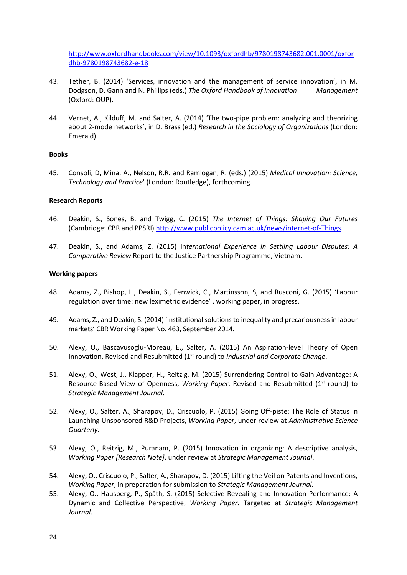[http://www.oxfordhandbooks.com/view/10.1093/oxfordhb/9780198743682.001.0001/oxfor](http://www.oxfordhandbooks.com/view/10.1093/oxfordhb/9780198743682.001.0001/oxfordhb-9780198743682-e-18) [dhb-9780198743682-e-18](http://www.oxfordhandbooks.com/view/10.1093/oxfordhb/9780198743682.001.0001/oxfordhb-9780198743682-e-18) 

- 43. Tether, B. (2014) 'Services, innovation and the management of service innovation', in M. Dodgson, D. Gann and N. Phillips (eds.) *The Oxford Handbook of Innovation Management*  (Oxford: OUP).
- 44. Vernet, A., Kilduff, M. and Salter, A. (2014) 'The two-pipe problem: analyzing and theorizing about 2-mode networks', in D. Brass (ed.) *Research in the Sociology of Organizations* (London: Emerald).

## **Books**

45. Consoli, D, Mina, A., Nelson, R.R. and Ramlogan, R. (eds.) (2015) *Medical Innovation: Science, Technology and Practice*' (London: Routledge), forthcoming.

#### **Research Reports**

- <span id="page-23-3"></span>46. Deakin, S., Sones, B. and Twigg, C. (2015) *The Internet of Things: Shaping Our Futures* (Cambridge: CBR and PPSRI) [http://www.publicpolicy.cam.ac.uk/news/internet-of-Things.](http://www.publicpolicy.cam.ac.uk/news/internet-of-Things)
- <span id="page-23-2"></span>47. Deakin, S., and Adams, Z. (2015) In*ternational Experience in Settling Labour Disputes: A Comparative Review* Report to the Justice Partnership Programme, Vietnam.

#### **Working papers**

- <span id="page-23-0"></span>48. Adams, Z., Bishop, L., Deakin, S., Fenwick, C., Martinsson, S, and Rusconi, G. (2015) 'Labour regulation over time: new leximetric evidence' , working paper, in progress.
- <span id="page-23-1"></span>49. Adams, Z., and Deakin, S. (2014) 'Institutional solutions to inequality and precariousness in labour markets' CBR Working Paper No. 463, September 2014.
- 50. Alexy, O., Bascavusoglu-Moreau, E., Salter, A. (2015) An Aspiration-level Theory of Open Innovation, Revised and Resubmitted (1st round) to *Industrial and Corporate Change*.
- 51. Alexy, O., West, J., Klapper, H., Reitzig, M. (2015) Surrendering Control to Gain Advantage: A Resource-Based View of Openness, Working Paper. Revised and Resubmitted (1<sup>st</sup> round) to *Strategic Management Journal*.
- 52. Alexy, O., Salter, A., Sharapov, D., Criscuolo, P. (2015) Going Off-piste: The Role of Status in Launching Unsponsored R&D Projects, *Working Paper*, under review at *Administrative Science Quarterly*.
- 53. Alexy, O., Reitzig, M., Puranam, P. (2015) Innovation in organizing: A descriptive analysis, *Working Paper [Research Note]*, under review at *Strategic Management Journal*.
- 54. Alexy, O., Criscuolo, P., Salter, A., Sharapov, D. (2015) Lifting the Veil on Patents and Inventions, *Working Paper*, in preparation for submission to *Strategic Management Journal*.
- 55. Alexy, O., Hausberg, P., Späth, S. (2015) Selective Revealing and Innovation Performance: A Dynamic and Collective Perspective, *Working Paper*. Targeted at *Strategic Management Journal*.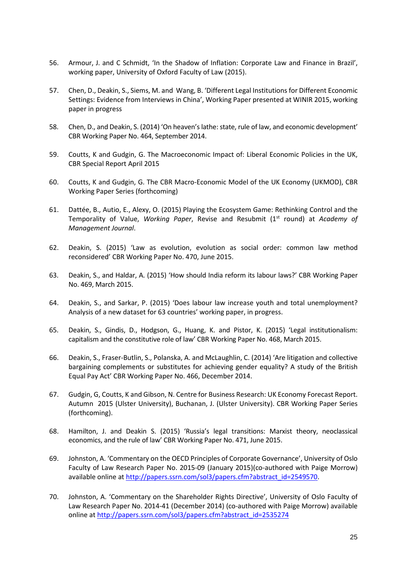- <span id="page-24-3"></span>56. Armour, J. and C Schmidt, 'In the Shadow of Inflation: Corporate Law and Finance in Brazil', working paper, University of Oxford Faculty of Law (2015).
- 57. Chen, D., Deakin, S., Siems, M. and Wang, B. 'Different Legal Institutions for Different Economic Settings: Evidence from Interviews in China', Working Paper presented at WINIR 2015, working paper in progress
- <span id="page-24-4"></span>58. Chen, D., and Deakin, S. (2014) 'On heaven's lathe: state, rule of law, and economic development' CBR Working Paper No. 464, September 2014.
- <span id="page-24-0"></span>59. Coutts, K and Gudgin, G. The Macroeconomic Impact of: Liberal Economic Policies in the UK, CBR Special Report April 2015
- <span id="page-24-1"></span>60. Coutts, K and Gudgin, G. The CBR Macro-Economic Model of the UK Economy (UKMOD), CBR Working Paper Series (forthcoming)
- 61. Dattée, B., Autio, E., Alexy, O. (2015) Playing the Ecosystem Game: Rethinking Control and the Temporality of Value, *Working Paper*, Revise and Resubmit (1st round) at *Academy of Management Journal*.
- 62. Deakin, S. (2015) 'Law as evolution, evolution as social order: common law method reconsidered' CBR Working Paper No. 470, June 2015.
- <span id="page-24-7"></span>63. Deakin, S., and Haldar, A. (2015) 'How should India reform its labour laws?' CBR Working Paper No. 469, March 2015.
- <span id="page-24-8"></span>64. Deakin, S., and Sarkar, P. (2015) 'Does labour law increase youth and total unemployment? Analysis of a new dataset for 63 countries' working paper, in progress.
- <span id="page-24-5"></span>65. Deakin, S., Gindis, D., Hodgson, G., Huang, K. and Pistor, K. (2015) 'Legal institutionalism: capitalism and the constitutive role of law' CBR Working Paper No. 468, March 2015.
- 66. Deakin, S., Fraser-Butlin, S., Polanska, A. and McLaughlin, C. (2014) 'Are litigation and collective bargaining complements or substitutes for achieving gender equality? A study of the British Equal Pay Act' CBR Working Paper No. 466, December 2014.
- <span id="page-24-2"></span>67. Gudgin, G, Coutts, K and Gibson, N. Centre for Business Research: UK Economy Forecast Report. Autumn 2015 (Ulster University), Buchanan, J. (Ulster University). CBR Working Paper Series (forthcoming).
- <span id="page-24-6"></span>68. Hamilton, J. and Deakin S. (2015) 'Russia's legal transitions: Marxist theory, neoclassical economics, and the rule of law' CBR Working Paper No. 471, June 2015.
- 69. Johnston, A. 'Commentary on the OECD Principles of Corporate Governance', University of Oslo Faculty of Law Research Paper No. 2015-09 (January 2015)(co-authored with Paige Morrow) available online at [http://papers.ssrn.com/sol3/papers.cfm?abstract\\_id=2549570.](http://papers.ssrn.com/sol3/papers.cfm?abstract_id=2549570)
- 70. Johnston, A. 'Commentary on the Shareholder Rights Directive', University of Oslo Faculty of Law Research Paper No. 2014-41 (December 2014) (co-authored with Paige Morrow) available online at [http://papers.ssrn.com/sol3/papers.cfm?abstract\\_id=2535274](http://papers.ssrn.com/sol3/papers.cfm?abstract_id=2535274)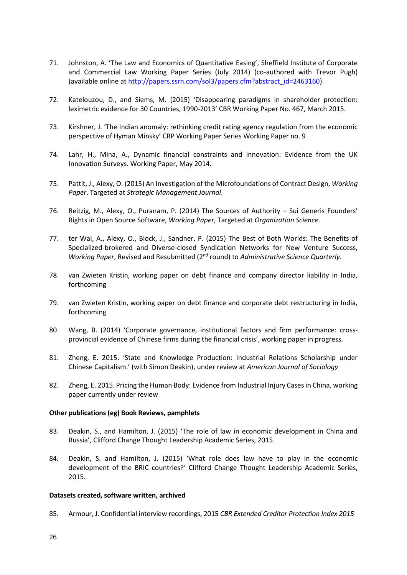- 71. Johnston, A. 'The Law and Economics of Quantitative Easing', Sheffield Institute of Corporate and Commercial Law Working Paper Series (July 2014) (co-authored with Trevor Pugh) (available online a[t http://papers.ssrn.com/sol3/papers.cfm?abstract\\_id=2463160\)](http://papers.ssrn.com/sol3/papers.cfm?abstract_id=2463160)
- <span id="page-25-0"></span>72. Katelouzou, D., and Siems, M. (2015) 'Disappearing paradigms in shareholder protection: leximetric evidence for 30 Countries, 1990-2013' CBR Working Paper No. 467, March 2015.
- 73. Kirshner, J. 'The Indian anomaly: rethinking credit rating agency regulation from the economic perspective of Hyman Minsky' CRP Working Paper Series Working Paper no. 9
- 74. Lahr, H., Mina, A., Dynamic financial constraints and innovation: Evidence from the UK Innovation Surveys. Working Paper, May 2014.
- 75. Pattit, J., Alexy, O. (2015) An Investigation of the Microfoundations of Contract Design, *Working Paper*. Targeted at *Strategic Management Journal*.
- 76. Reitzig, M., Alexy, O., Puranam, P. (2014) The Sources of Authority Sui Generis Founders' Rights in Open Source Software, *Working Paper*, Targeted at *Organization Science*.
- 77. ter Wal, A., Alexy, O., Block, J., Sandner, P. (2015) The Best of Both Worlds: The Benefits of Specialized-brokered and Diverse-closed Syndication Networks for New Venture Success, *Working Paper*, Revised and Resubmitted (2nd round) to *Administrative Science Quarterly*.
- <span id="page-25-1"></span>78. van Zwieten Kristin, working paper on debt finance and company director liability in India, forthcoming
- <span id="page-25-2"></span>79. van Zwieten Kristin, working paper on debt finance and corporate debt restructuring in India, forthcoming
- <span id="page-25-3"></span>80. Wang, B. (2014) 'Corporate governance, institutional factors and firm performance: crossprovincial evidence of Chinese firms during the financial crisis', working paper in progress.
- 81. Zheng, E. 2015. 'State and Knowledge Production: Industrial Relations Scholarship under Chinese Capitalism.' (with Simon Deakin), under review at *American Journal of Sociology*
- 82. Zheng, E. 2015. Pricing the Human Body: Evidence from Industrial Injury Cases in China, working paper currently under review

## **Other publications (eg) Book Reviews, pamphlets**

- <span id="page-25-4"></span>83. Deakin, S., and Hamilton, J. (2015) 'The role of law in economic development in China and Russia', Clifford Change Thought Leadership Academic Series, 2015.
- <span id="page-25-5"></span>84. Deakin, S. and Hamilton, J. (2015) 'What role does law have to play in the economic development of the BRIC countries?' Clifford Change Thought Leadership Academic Series, 2015.

#### **Datasets created, software written, archived**

<span id="page-25-6"></span>85. Armour, J. Confidential interview recordings, 2015 *CBR Extended Creditor Protection Index 2015*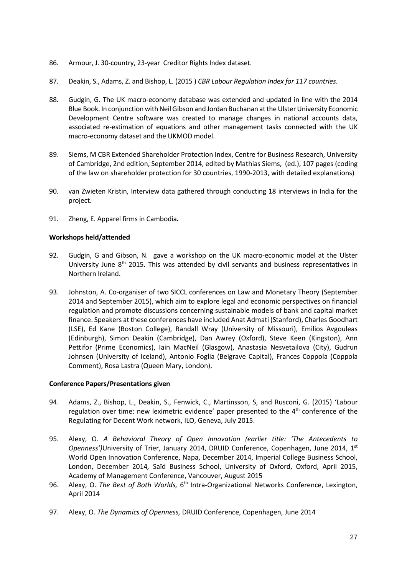- <span id="page-26-2"></span>86. Armour, J. 30-country, 23-year Creditor Rights Index dataset.
- <span id="page-26-6"></span>87. Deakin, S., Adams, Z. and Bishop, L. (2015 ) *CBR Labour Regulation Index for 117 countries*.
- <span id="page-26-0"></span>88. Gudgin, G. The UK macro-economy database was extended and updated in line with the 2014 Blue Book. In conjunction with Neil Gibson and Jordan Buchanan at the Ulster University Economic Development Centre software was created to manage changes in national accounts data, associated re-estimation of equations and other management tasks connected with the UK macro-economy dataset and the UKMOD model.
- <span id="page-26-3"></span>89. Siems, M CBR Extended Shareholder Protection Index, Centre for Business Research, University of Cambridge, 2nd edition, September 2014, edited by Mathias Siems, (ed.), 107 pages (coding of the law on shareholder protection for 30 countries, 1990-2013, with detailed explanations)
- <span id="page-26-4"></span>90. van Zwieten Kristin, Interview data gathered through conducting 18 interviews in India for the project.
- 91. Zheng, E. Apparel firms in Cambodia**.**

## **Workshops held/attended**

- <span id="page-26-1"></span>92. Gudgin, G and Gibson, N. gave a workshop on the UK macro-economic model at the Ulster University June  $8<sup>th</sup>$  2015. This was attended by civil servants and business representatives in Northern Ireland.
- 93. Johnston, A. Co-organiser of two SICCL conferences on Law and Monetary Theory (September 2014 and September 2015), which aim to explore legal and economic perspectives on financial regulation and promote discussions concerning sustainable models of bank and capital market finance. Speakers at these conferences have included Anat Admati (Stanford), Charles Goodhart (LSE), Ed Kane (Boston College), Randall Wray (University of Missouri), Emilios Avgouleas (Edinburgh), Simon Deakin (Cambridge), Dan Awrey (Oxford), Steve Keen (Kingston), Ann Pettifor (Prime Economics), Iain MacNeil (Glasgow), Anastasia Nesvetailova (City), Gudrun Johnsen (University of Iceland), Antonio Foglia (Belgrave Capital), Frances Coppola (Coppola Comment), Rosa Lastra (Queen Mary, London).

## **Conference Papers/Presentations given**

- <span id="page-26-5"></span>94. Adams, Z., Bishop, L., Deakin, S., Fenwick, C., Martinsson, S, and Rusconi, G. (2015) 'Labour regulation over time: new leximetric evidence' paper presented to the 4<sup>th</sup> conference of the Regulating for Decent Work network, ILO, Geneva, July 2015.
- 95. Alexy, O. *A Behavioral Theory of Open Innovation (earlier title: 'The Antecedents to Openness'*)University of Trier, January 2014, DRUID Conference, Copenhagen, June 2014, 1<sup>st</sup> World Open Innovation Conference, Napa, December 2014, Imperial College Business School, London, December 2014*,* Saïd Business School, University of Oxford, Oxford, April 2015, Academy of Management Conference, Vancouver, August 2015
- 96. Alexy, O. *The Best of Both Worlds, 6<sup>th</sup>* Intra-Organizational Networks Conference, Lexington, April 2014
- 97. Alexy, O. *The Dynamics of Openness,* DRUID Conference, Copenhagen, June 2014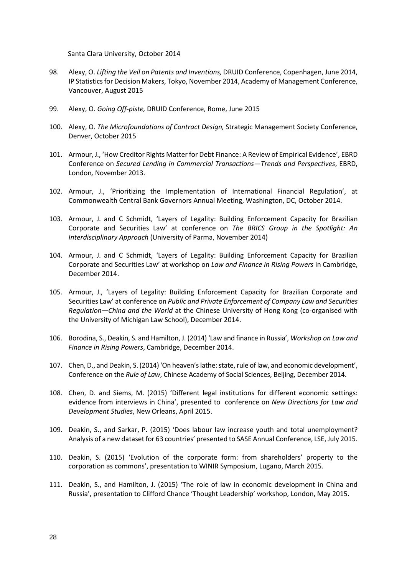Santa Clara University, October 2014

- 98. Alexy, O. *Lifting the Veil on Patents and Inventions,* DRUID Conference, Copenhagen, June 2014, IP Statistics for Decision Makers, Tokyo, November 2014, Academy of Management Conference, Vancouver, August 2015
- 99. Alexy, O. *Going Off-piste,* DRUID Conference, Rome, June 2015
- 100. Alexy, O. *The Microfoundations of Contract Design,* Strategic Management Society Conference, Denver, October 2015
- <span id="page-27-0"></span>101. Armour, J., 'How Creditor Rights Matter for Debt Finance: A Review of Empirical Evidence', EBRD Conference on *Secured Lending in Commercial Transactions—Trends and Perspectives*, EBRD, London*,* November 2013.
- <span id="page-27-1"></span>102. Armour, J., 'Prioritizing the Implementation of International Financial Regulation', at Commonwealth Central Bank Governors Annual Meeting, Washington, DC, October 2014.
- <span id="page-27-2"></span>103. Armour, J. and C Schmidt, 'Layers of Legality: Building Enforcement Capacity for Brazilian Corporate and Securities Law' at conference on *The BRICS Group in the Spotlight: An Interdisciplinary Approach* (University of Parma, November 2014)
- <span id="page-27-3"></span>104. Armour, J. and C Schmidt, 'Layers of Legality: Building Enforcement Capacity for Brazilian Corporate and Securities Law' at workshop on *Law and Finance in Rising Powers* in Cambridge, December 2014.
- <span id="page-27-4"></span>105. Armour, J., 'Layers of Legality: Building Enforcement Capacity for Brazilian Corporate and Securities Law' at conference on *Public and Private Enforcement of Company Law and Securities Regulation—China and the World* at the Chinese University of Hong Kong (co-organised with the University of Michigan Law School), December 2014.
- <span id="page-27-5"></span>106. Borodina, S., Deakin, S. and Hamilton, J. (2014) 'Law and finance in Russia', *Workshop on Law and Finance in Rising Powers*, Cambridge, December 2014.
- <span id="page-27-6"></span>107. Chen, D., and Deakin, S. (2014) 'On heaven's lathe: state, rule of law, and economic development', Conference on the *Rule of Law*, Chinese Academy of Social Sciences, Beijing, December 2014.
- <span id="page-27-7"></span>108. Chen, D. and Siems, M. (2015) 'Different legal institutions for different economic settings: evidence from interviews in China', presented to conference on *New Directions for Law and Development Studies*, New Orleans, April 2015.
- <span id="page-27-10"></span>109. Deakin, S., and Sarkar, P. (2015) 'Does labour law increase youth and total unemployment? Analysis of a new dataset for 63 countries' presented to SASE Annual Conference, LSE, July 2015.
- <span id="page-27-8"></span>110. Deakin, S. (2015) 'Evolution of the corporate form: from shareholders' property to the corporation as commons', presentation to WINIR Symposium, Lugano, March 2015.
- <span id="page-27-9"></span>111. Deakin, S., and Hamilton, J. (2015) 'The role of law in economic development in China and Russia', presentation to Clifford Chance 'Thought Leadership' workshop, London, May 2015.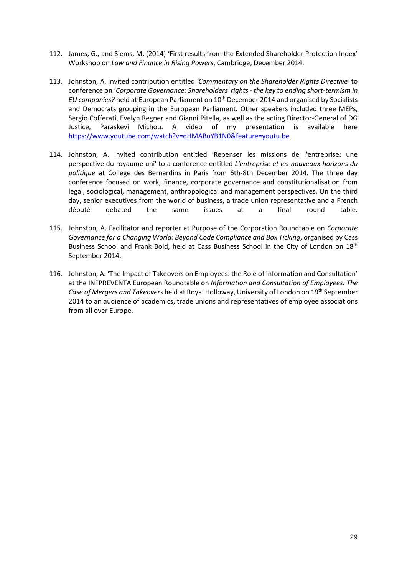- <span id="page-28-0"></span>112. James, G., and Siems, M. (2014) 'First results from the Extended Shareholder Protection Index' Workshop on *Law and Finance in Rising Powers*, Cambridge, December 2014.
- 113. Johnston, A. Invited contribution entitled *'Commentary on the Shareholder Rights Directive'* to conference on '*Corporate Governance: Shareholders' rights - the key to ending short-termism in EU companies?* held at European Parliament on 10th December 2014 and organised by Socialists and Democrats grouping in the European Parliament. Other speakers included three MEPs, Sergio Cofferati, Evelyn Regner and Gianni Pitella, as well as the acting Director-General of DG Justice, Paraskevi Michou. A video of my presentation is available here <https://www.youtube.com/watch?v=qHMABoYB1N0&feature=youtu.be>
- 114. Johnston, A. Invited contribution entitled 'Repenser les missions de l'entreprise: une perspective du royaume uni' to a conference entitled *L'entreprise et les nouveaux horizons du politique* at College des Bernardins in Paris from 6th-8th December 2014. The three day conference focused on work, finance, corporate governance and constitutionalisation from legal, sociological, management, anthropological and management perspectives. On the third day, senior executives from the world of business, a trade union representative and a French député debated the same issues at a final round table.
- 115. Johnston, A. Facilitator and reporter at Purpose of the Corporation Roundtable on *Corporate Governance for a Changing World: Beyond Code Compliance and Box Ticking*, organised by Cass Business School and Frank Bold, held at Cass Business School in the City of London on 18<sup>th</sup> September 2014.
- 116. Johnston, A. 'The Impact of Takeovers on Employees: the Role of Information and Consultation' at the INFPREVENTA European Roundtable on *Information and Consultation of Employees: The Case of Mergers and Takeovers* held at Royal Holloway, University of London on 19th September 2014 to an audience of academics, trade unions and representatives of employee associations from all over Europe.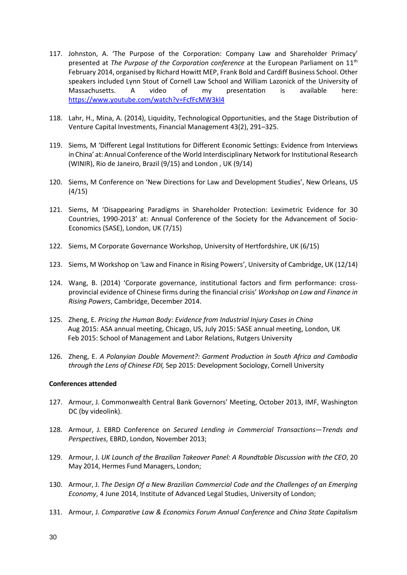- 117. Johnston, A. 'The Purpose of the Corporation: Company Law and Shareholder Primacy' presented at *The Purpose of the Corporation conference* at the European Parliament on 11th February 2014, organised by Richard Howitt MEP, Frank Bold and Cardiff Business School. Other speakers included Lynn Stout of Cornell Law School and William Lazonick of the University of Massachusetts. A video of my presentation is available here: <https://www.youtube.com/watch?v=FcfFcMW3kl4>
- 118. Lahr, H., Mina, A. (2014), Liquidity, Technological Opportunities, and the Stage Distribution of Venture Capital Investments, Financial Management 43(2), 291–325.
- <span id="page-29-0"></span>119. Siems, M 'Different Legal Institutions for Different Economic Settings: Evidence from Interviews in China' at: Annual Conference of the World Interdisciplinary Network for Institutional Research (WINIR), Rio de Janeiro, Brazil (9/15) and London , UK (9/14)
- <span id="page-29-1"></span>120. Siems, M Conference on 'New Directions for Law and Development Studies', New Orleans, US (4/15)
- <span id="page-29-2"></span>121. Siems, M 'Disappearing Paradigms in Shareholder Protection: Leximetric Evidence for 30 Countries, 1990-2013' at: Annual Conference of the Society for the Advancement of Socio-Economics (SASE), London, UK (7/15)
- <span id="page-29-3"></span>122. Siems, M Corporate Governance Workshop, University of Hertfordshire, UK (6/15)
- <span id="page-29-4"></span>123. Siems, M Workshop on 'Law and Finance in Rising Powers', University of Cambridge, UK (12/14)
- <span id="page-29-5"></span>124. Wang, B. (2014) 'Corporate governance, institutional factors and firm performance: crossprovincial evidence of Chinese firms during the financial crisis' *Workshop on Law and Finance in Rising Powers*, Cambridge, December 2014.
- 125. Zheng, E. *Pricing the Human Body: Evidence from Industrial Injury Cases in China* Aug 2015: ASA annual meeting, Chicago, US, July 2015: SASE annual meeting, London, UK Feb 2015: School of Management and Labor Relations, Rutgers University
- 126. Zheng, E. *A Polanyian Double Movement?: Garment Production in South Africa and Cambodia through the Lens of Chinese FDI,* Sep 2015: Development Sociology, Cornell University

## **Conferences attended**

- <span id="page-29-6"></span>127. Armour, J. Commonwealth Central Bank Governors' Meeting, October 2013, IMF, Washington DC (by videolink).
- <span id="page-29-7"></span>128. Armour, J. EBRD Conference on *Secured Lending in Commercial Transactions—Trends and Perspectives*, EBRD, London*,* November 2013;
- <span id="page-29-8"></span>129. Armour, J. *UK Launch of the Brazilian Takeover Panel: A Roundtable Discussion with the CEO*, 20 May 2014, Hermes Fund Managers, London;
- <span id="page-29-9"></span>130. Armour, J. *The Design Of a New Brazilian Commercial Code and the Challenges of an Emerging Economy*, 4 June 2014, Institute of Advanced Legal Studies, University of London;
- <span id="page-29-10"></span>131. Armour, J. *Comparative Law & Economics Forum Annual Conference* and *China State Capitalism*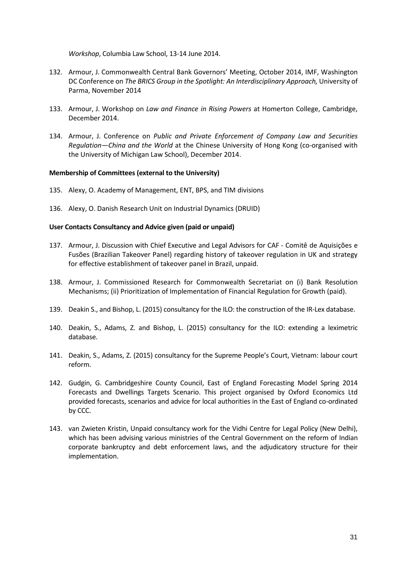*Workshop*, Columbia Law School, 13-14 June 2014.

- <span id="page-30-1"></span>132. Armour, J. Commonwealth Central Bank Governors' Meeting, October 2014, IMF, Washington DC Conference on *The BRICS Group in the Spotlight: An Interdisciplinary Approach, University of* Parma, November 2014
- <span id="page-30-3"></span><span id="page-30-2"></span>133. Armour, J. Workshop on *Law and Finance in Rising Powers* at Homerton College, Cambridge, December 2014.
- 134. Armour, J. Conference on *Public and Private Enforcement of Company Law and Securities Regulation—China and the World* at the Chinese University of Hong Kong (co-organised with the University of Michigan Law School), December 2014.

## **Membership of Committees (external to the University)**

- 135. Alexy, O. Academy of Management, ENT, BPS, and TIM divisions
- 136. Alexy, O. Danish Research Unit on Industrial Dynamics (DRUID)

## **User Contacts Consultancy and Advice given (paid or unpaid)**

- <span id="page-30-4"></span>137. Armour, J. Discussion with Chief Executive and Legal Advisors for CAF - Comitê de Aquisições e Fusões (Brazilian Takeover Panel) regarding history of takeover regulation in UK and strategy for effective establishment of takeover panel in Brazil, unpaid.
- <span id="page-30-5"></span>138. Armour, J. Commissioned Research for Commonwealth Secretariat on (i) Bank Resolution Mechanisms; (ii) Prioritization of Implementation of Financial Regulation for Growth (paid).
- <span id="page-30-7"></span>139. Deakin S., and Bishop, L. (2015) consultancy for the ILO: the construction of the IR-Lex database.
- <span id="page-30-8"></span>140. Deakin, S., Adams, Z. and Bishop, L. (2015) consultancy for the ILO: extending a leximetric database.
- <span id="page-30-9"></span>141. Deakin, S., Adams, Z. (2015) consultancy for the Supreme People's Court, Vietnam: labour court reform.
- <span id="page-30-0"></span>142. Gudgin, G. Cambridgeshire County Council, East of England Forecasting Model Spring 2014 Forecasts and Dwellings Targets Scenario. This project organised by Oxford Economics Ltd provided forecasts, scenarios and advice for local authorities in the East of England co-ordinated by CCC.
- <span id="page-30-6"></span>143. van Zwieten Kristin, Unpaid consultancy work for the Vidhi Centre for Legal Policy (New Delhi), which has been advising various ministries of the Central Government on the reform of Indian corporate bankruptcy and debt enforcement laws, and the adjudicatory structure for their implementation.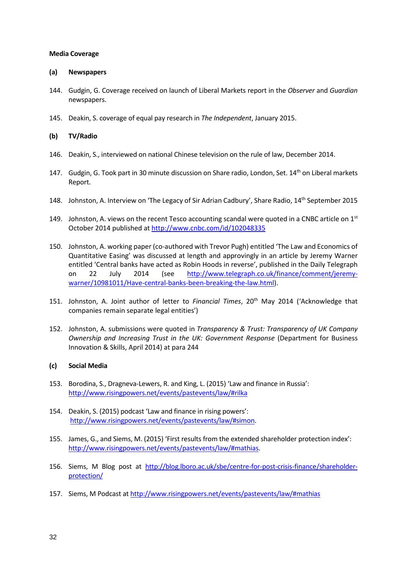## **Media Coverage**

## **(a) Newspapers**

- <span id="page-31-0"></span>144. Gudgin, G. Coverage received on launch of Liberal Markets report in the *Observer* and *Guardian* newspapers.
- 145. Deakin, S. coverage of equal pay research in *The Independent*, January 2015.

## **(b) TV/Radio**

- <span id="page-31-2"></span>146. Deakin, S., interviewed on national Chinese television on the rule of law, December 2014.
- <span id="page-31-1"></span>147. Gudgin, G. Took part in 30 minute discussion on Share radio, London, Set. 14<sup>th</sup> on Liberal markets Report.
- 148. Johnston, A. Interview on 'The Legacy of Sir Adrian Cadbury', Share Radio, 14<sup>th</sup> September 2015
- 149. Johnston, A. views on the recent Tesco accounting scandal were quoted in a CNBC article on  $1<sup>st</sup>$ October 2014 published at<http://www.cnbc.com/id/102048335>
- 150. Johnston, A. working paper (co-authored with Trevor Pugh) entitled 'The Law and Economics of Quantitative Easing' was discussed at length and approvingly in an article by Jeremy Warner entitled 'Central banks have acted as Robin Hoods in reverse', published in the Daily Telegraph on 22 July 2014 (see [http://www.telegraph.co.uk/finance/comment/jeremy](http://www.telegraph.co.uk/finance/comment/jeremy-warner/10981011/Have-central-banks-been-breaking-the-law.html)[warner/10981011/Have-central-banks-been-breaking-the-law.html\)](http://www.telegraph.co.uk/finance/comment/jeremy-warner/10981011/Have-central-banks-been-breaking-the-law.html).
- 151. Johnston, A. Joint author of letter to *Financial Times*, 20th May 2014 ('Acknowledge that companies remain separate legal entities')
- 152. Johnston, A. submissions were quoted in *Transparency & Trust: Transparency of UK Company Ownership and Increasing Trust in the UK: Government Response* (Department for Business Innovation & Skills, April 2014) at para 244

## **(c) Social Media**

- <span id="page-31-3"></span>153. Borodina, S., Dragneva-Lewers, R. and King, L. (2015) 'Law and finance in Russia': <http://www.risingpowers.net/events/pastevents/law/#rilka>
- <span id="page-31-4"></span>154. Deakin, S. (2015) podcast 'Law and finance in rising powers': [http://www.risingpowers.net/events/pastevents/law/#simon.](http://www.risingpowers.net/events/pastevents/law/#simon)
- <span id="page-31-5"></span>155. James, G., and Siems, M. (2015) 'First results from the extended shareholder protection index': [http://www.risingpowers.net/events/pastevents/law/#mathias.](http://www.risingpowers.net/events/pastevents/law/#mathias)
- <span id="page-31-6"></span>156. Siems, M Blog post at [http://blog.lboro.ac.uk/sbe/centre-for-post-crisis-finance/shareholder](http://blog.lboro.ac.uk/sbe/centre-for-post-crisis-finance/shareholder-protection/)[protection/](http://blog.lboro.ac.uk/sbe/centre-for-post-crisis-finance/shareholder-protection/)
- <span id="page-31-7"></span>157. Siems, M Podcast a[t http://www.risingpowers.net/events/pastevents/law/#mathias](http://www.risingpowers.net/events/pastevents/law/#mathias)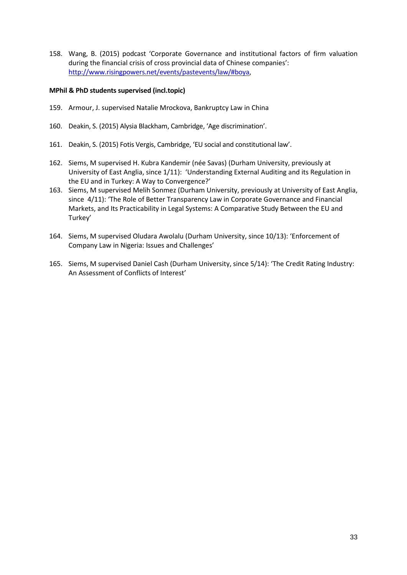<span id="page-32-0"></span>158. Wang, B. (2015) podcast 'Corporate Governance and institutional factors of firm valuation during the financial crisis of cross provincial data of Chinese companies': [http://www.risingpowers.net/events/pastevents/law/#boya,](http://www.risingpowers.net/events/pastevents/law/#boya)

## **MPhil & PhD students supervised (incl.topic)**

- <span id="page-32-1"></span>159. Armour, J. supervised Natalie Mrockova, Bankruptcy Law in China
- <span id="page-32-6"></span>160. Deakin, S. (2015) Alysia Blackham, Cambridge, 'Age discrimination'.
- <span id="page-32-7"></span>161. Deakin, S. (2015) Fotis Vergis, Cambridge, 'EU social and constitutional law'.
- <span id="page-32-2"></span>162. Siems, M supervised H. Kubra Kandemir (née Savas) (Durham University, previously at University of East Anglia, since 1/11): 'Understanding External Auditing and its Regulation in the EU and in Turkey: A Way to Convergence?'
- <span id="page-32-3"></span>163. Siems, M supervised Melih Sonmez (Durham University, previously at University of East Anglia, since 4/11): 'The Role of Better Transparency Law in Corporate Governance and Financial Markets, and Its Practicability in Legal Systems: A Comparative Study Between the EU and Turkey'
- <span id="page-32-4"></span>164. Siems, M supervised Oludara Awolalu (Durham University, since 10/13): 'Enforcement of Company Law in Nigeria: Issues and Challenges'
- <span id="page-32-5"></span>165. Siems, M supervised Daniel Cash (Durham University, since 5/14): 'The Credit Rating Industry: An Assessment of Conflicts of Interest'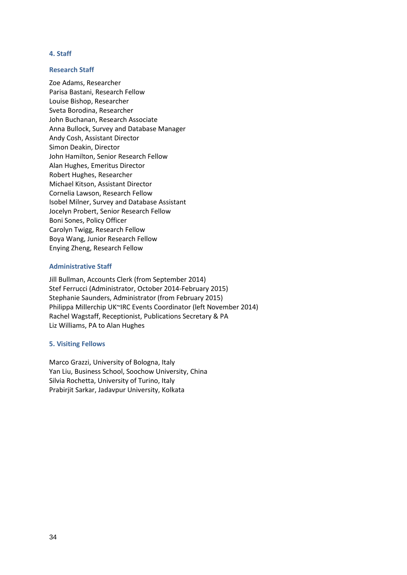## **4. Staff**

#### **Research Staff**

Zoe Adams, Researcher Parisa Bastani, Research Fellow Louise Bishop, Researcher Sveta Borodina, Researcher John Buchanan, Research Associate Anna Bullock, Survey and Database Manager Andy Cosh, Assistant Director Simon Deakin, Director John Hamilton, Senior Research Fellow Alan Hughes, Emeritus Director Robert Hughes, Researcher Michael Kitson, Assistant Director Cornelia Lawson, Research Fellow Isobel Milner, Survey and Database Assistant Jocelyn Probert, Senior Research Fellow Boni Sones, Policy Officer Carolyn Twigg, Research Fellow Boya Wang, Junior Research Fellow Enying Zheng, Research Fellow

## **Administrative Staff**

Jill Bullman, Accounts Clerk (from September 2014) Stef Ferrucci (Administrator, October 2014-February 2015) Stephanie Saunders, Administrator (from February 2015) Philippa Millerchip UK~IRC Events Coordinator (left November 2014) Rachel Wagstaff, Receptionist, Publications Secretary & PA Liz Williams, PA to Alan Hughes

#### **5. Visiting Fellows**

Marco Grazzi, University of Bologna, Italy Yan Liu, Business School, Soochow University, China Silvia Rochetta, University of Turino, Italy Prabirjit Sarkar, Jadavpur University, Kolkata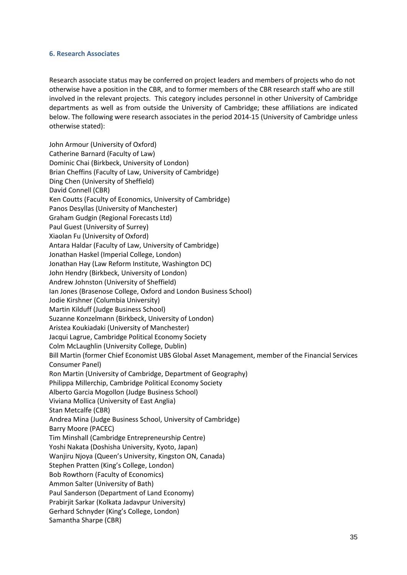## **6. Research Associates**

Research associate status may be conferred on project leaders and members of projects who do not otherwise have a position in the CBR, and to former members of the CBR research staff who are still involved in the relevant projects. This category includes personnel in other University of Cambridge departments as well as from outside the University of Cambridge; these affiliations are indicated below. The following were research associates in the period 2014-15 (University of Cambridge unless otherwise stated):

John Armour (University of Oxford) Catherine Barnard (Faculty of Law) Dominic Chai (Birkbeck, University of London) Brian Cheffins (Faculty of Law, University of Cambridge) Ding Chen (University of Sheffield) David Connell (CBR) Ken Coutts (Faculty of Economics, University of Cambridge) Panos Desyllas (University of Manchester) Graham Gudgin (Regional Forecasts Ltd) Paul Guest (University of Surrey) Xiaolan Fu (University of Oxford) Antara Haldar (Faculty of Law, University of Cambridge) Jonathan Haskel (Imperial College, London) Jonathan Hay (Law Reform Institute, Washington DC) John Hendry (Birkbeck, University of London) Andrew Johnston (University of Sheffield) Ian Jones (Brasenose College, Oxford and London Business School) Jodie Kirshner (Columbia University) Martin Kilduff (Judge Business School) Suzanne Konzelmann (Birkbeck, University of London) Aristea Koukiadaki (University of Manchester) Jacqui Lagrue, Cambridge Political Economy Society Colm McLaughlin (University College, Dublin) Bill Martin (former Chief Economist UBS Global Asset Management, member of the Financial Services Consumer Panel) Ron Martin (University of Cambridge, Department of Geography) Philippa Millerchip, Cambridge Political Economy Society Alberto Garcia Mogollon (Judge Business School) Viviana Mollica (University of East Anglia) Stan Metcalfe (CBR) Andrea Mina (Judge Business School, University of Cambridge) Barry Moore (PACEC) Tim Minshall (Cambridge Entrepreneurship Centre) Yoshi Nakata (Doshisha University, Kyoto, Japan) Wanjiru Njoya (Queen's University, Kingston ON, Canada) Stephen Pratten (King's College, London) Bob Rowthorn (Faculty of Economics) Ammon Salter (University of Bath) Paul Sanderson (Department of Land Economy) Prabirjit Sarkar (Kolkata Jadavpur University) Gerhard Schnyder (King's College, London) Samantha Sharpe (CBR)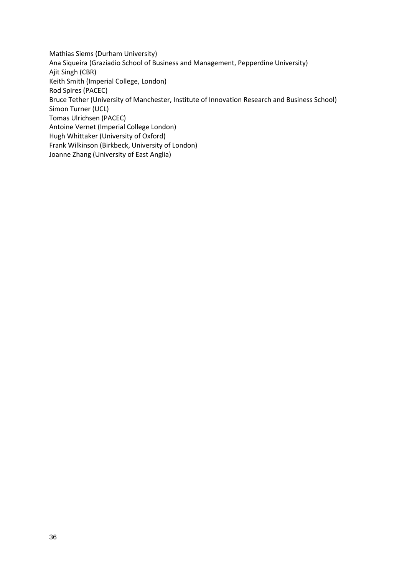Mathias Siems (Durham University) Ana Siqueira (Graziadio School of Business and Management, Pepperdine University) Ajit Singh (CBR) Keith Smith (Imperial College, London) Rod Spires (PACEC) Bruce Tether (University of Manchester, Institute of Innovation Research and Business School) Simon Turner (UCL) Tomas Ulrichsen (PACEC) Antoine Vernet (Imperial College London) Hugh Whittaker (University of Oxford) Frank Wilkinson (Birkbeck, University of London) Joanne Zhang (University of East Anglia)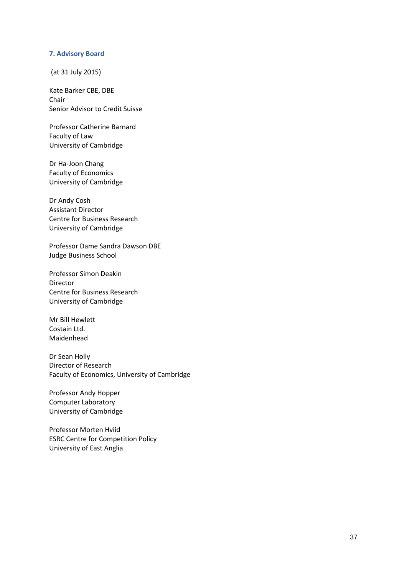#### **7. Advisory Board**

(at 31 July 2015)

Kate Barker CBE, DBE Chair Senior Advisor to Credit Suisse

Professor Catherine Barnard Faculty of Law University of Cambridge

Dr Ha-Joon Chang Faculty of Economics University of Cambridge

Dr Andy Cosh Assistant Director Centre for Business Research University of Cambridge

Professor Dame Sandra Dawson DBE Judge Business School

Professor Simon Deakin Director Centre for Business Research University of Cambridge

Mr Bill Hewlett Costain Ltd. Maidenhead

Dr Sean Holly Director of Research Faculty of Economics, University of Cambridge

Professor Andy Hopper Computer Laboratory University of Cambridge

Professor Morten Hviid ESRC Centre for Competition Policy University of East Anglia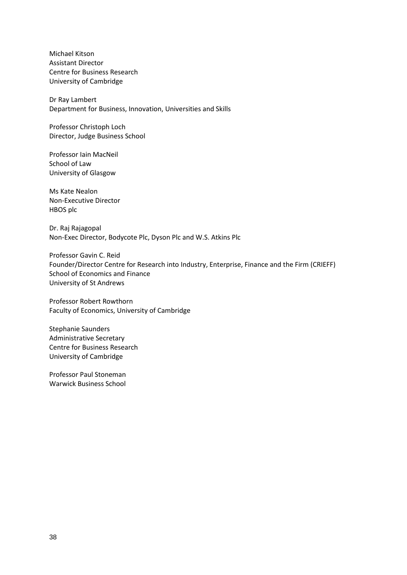Michael Kitson Assistant Director Centre for Business Research University of Cambridge

Dr Ray Lambert Department for Business, Innovation, Universities and Skills

Professor Christoph Loch Director, Judge Business School

Professor Iain MacNeil School of Law University of Glasgow

Ms Kate Nealon Non-Executive Director HBOS plc

Dr. Raj Rajagopal Non-Exec Director, Bodycote Plc, Dyson Plc and W.S. Atkins Plc

Professor Gavin C. Reid Founder/Director Centre for Research into Industry, Enterprise, Finance and the Firm (CRIEFF) School of Economics and Finance University of St Andrews

Professor Robert Rowthorn Faculty of Economics, University of Cambridge

Stephanie Saunders Administrative Secretary Centre for Business Research University of Cambridge

Professor Paul Stoneman Warwick Business School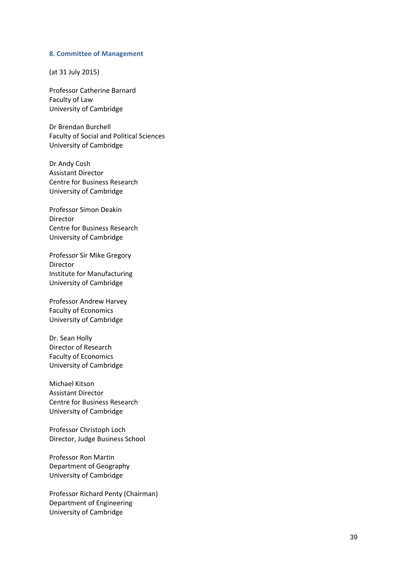#### **8. Committee of Management**

(at 31 July 2015)

Professor Catherine Barnard Faculty of Law University of Cambridge

Dr Brendan Burchell Faculty of Social and Political Sciences University of Cambridge

Dr Andy Cosh Assistant Director Centre for Business Research University of Cambridge

Professor Simon Deakin Director Centre for Business Research University of Cambridge

Professor Sir Mike Gregory Director Institute for Manufacturing University of Cambridge

Professor Andrew Harvey Faculty of Economics University of Cambridge

Dr. Sean Holly Director of Research Faculty of Economics University of Cambridge

Michael Kitson Assistant Director Centre for Business Research University of Cambridge

Professor Christoph Loch Director, Judge Business School

Professor Ron Martin Department of Geography University of Cambridge

Professor Richard Penty (Chairman) Department of Engineering University of Cambridge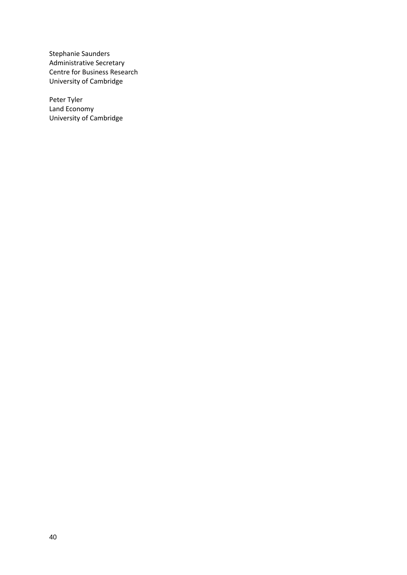Stephanie Saunders Administrative Secretary Centre for Business Research University of Cambridge

Peter Tyler Land Economy University of Cambridge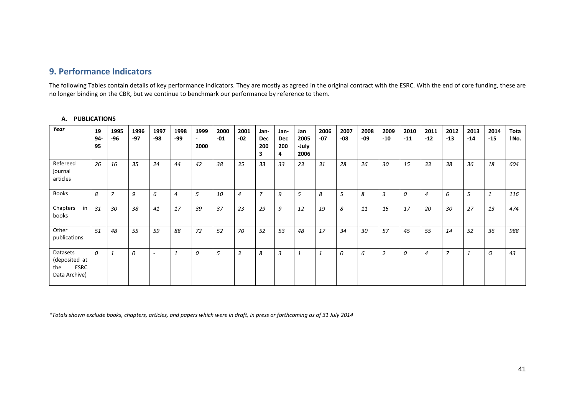# **9. Performance Indicators**

The following Tables contain details of key performance indicators. They are mostly as agreed in the original contract with the ESRC. With the end of core funding, these are no longer binding on the CBR, but we continue to benchmark our performance by reference to them.

## **A. PUBLICATIONS**

<span id="page-40-0"></span>

| Year                                                             | 19<br>$94-$<br>95 | 1995<br>-96    | 1996<br>$-97$ | 1997<br>-98              | 1998<br>$-99$  | 1999<br>$\overline{\phantom{a}}$<br>2000 | 2000<br>$-01$ | 2001<br>$-02$  | Jan-<br><b>Dec</b><br>200<br>з | Jan-<br>Dec<br>200<br>4 | Jan<br>2005<br>-July<br>2006 | 2006<br>$-07$ | 2007<br>$-08$ | 2008<br>-09 | 2009<br>$-10$  | 2010<br>$-11$ | 2011<br>$-12$  | 2012<br>$-13$  | 2013<br>$-14$ | 2014<br>$-15$ | Tota<br>l No. |
|------------------------------------------------------------------|-------------------|----------------|---------------|--------------------------|----------------|------------------------------------------|---------------|----------------|--------------------------------|-------------------------|------------------------------|---------------|---------------|-------------|----------------|---------------|----------------|----------------|---------------|---------------|---------------|
| Refereed<br>journal<br>articles                                  | 26                | 16             | 35            | 24                       | 44             | 42                                       | 38            | 35             | 33                             | 33                      | 23                           | 31            | 28            | 26          | 30             | 15            | 33             | 38             | 36            | 18            | 604           |
| <b>Books</b>                                                     | 8                 | $\overline{z}$ | 9             | 6                        | $\overline{4}$ | 5                                        | 10            | $\overline{4}$ | $\overline{7}$                 | 9                       | 5                            | 8             | 5             | 8           | 3              | 0             | $\overline{4}$ | 6              | 5             |               | 116           |
| Chapters<br>in<br>books                                          | 31                | 30             | 38            | 41                       | 17             | 39                                       | 37            | 23             | 29                             | 9                       | 12                           | 19            | 8             | 11          | 15             | 17            | 20             | 30             | 27            | 13            | 474           |
| Other<br>publications                                            | 51                | 48             | 55            | 59                       | 88             | 72                                       | 52            | 70             | 52                             | 53                      | 48                           | 17            | 34            | 30          | 57             | 45            | 55             | 14             | 52            | 36            | 988           |
| Datasets<br>(deposited at<br><b>ESRC</b><br>the<br>Data Archive) | $\Omega$          | $\mathbf{1}$   | $\theta$      | $\overline{\phantom{a}}$ | $\mathbf{1}$   | 0                                        | 5             | 3              | 8                              | 3                       | $\mathbf{1}$                 | 1             | 0             | 6           | $\overline{2}$ | $\theta$      | 4              | $\overline{7}$ | $\mathbf{1}$  | 0             | 43            |

*\*Totals shown exclude books, chapters, articles, and papers which were in draft, in press or forthcoming as of 31 July 2014*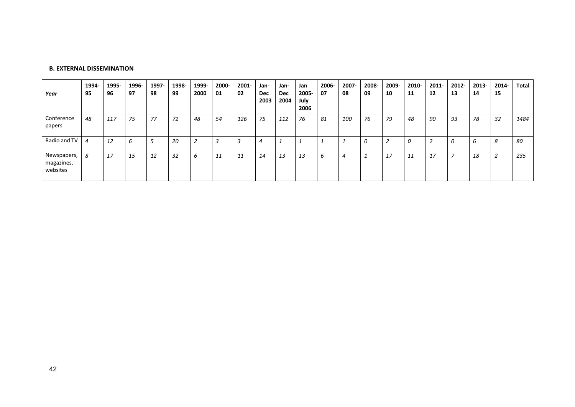| Year                                  | 1994-<br>95 | 1995-<br>96 | 1996-<br>97 | 1997-<br>98 | 1998-<br>99 | 1999-<br>2000 | 2000-<br>01 | 2001-<br>02 | Jan-<br>Dec<br>2003 | Jan-<br>Dec<br>2004 | Jan<br>2005-<br>July<br>2006 | 2006-<br>07 | 2007-<br>08    | 2008-<br>09 | 2009-<br>10 | 2010-<br>11 | $2011 -$<br>12 | 2012-<br>13 | 2013-<br>14 | 2014-<br>15   | Total |
|---------------------------------------|-------------|-------------|-------------|-------------|-------------|---------------|-------------|-------------|---------------------|---------------------|------------------------------|-------------|----------------|-------------|-------------|-------------|----------------|-------------|-------------|---------------|-------|
| Conference<br>papers                  | 48          | 117         | 75          | 77          | 72          | 48            | 54          | 126         | 75                  | 112                 | 76                           | 81          | 100            | 76          | 79          | 48          | 90             | 93          | 78          | 32            | 1484  |
| Radio and TV                          | 4           | 12          | b           |             | 20          | 2             | 3           |             | 4                   |                     |                              |             |                | 0           | ∠           | 0           |                | 0           | ь           | $\Omega$<br>ŏ | 80    |
| Newspapers,<br>magazines,<br>websites | 8           | 17          | 15          | 12          | 32          | b             | 11          | 11          | 14                  | 13                  | 13                           | b           | $\overline{4}$ |             | 17          | 11          | 17             | –           | 18          |               | 235   |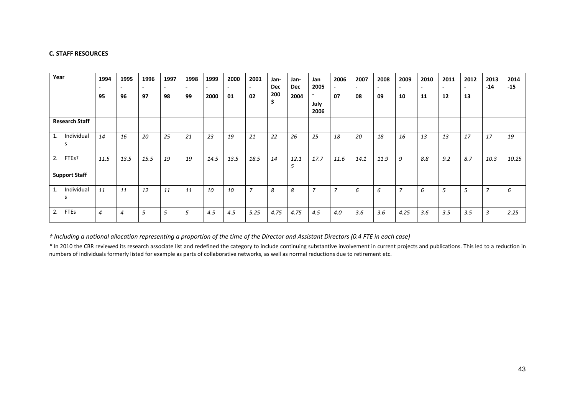#### **C. STAFF RESOURCES**

| Year |                       | 1994<br>95     | 1995<br>96     | 1996<br>97 | 1997<br>98 | 1998<br>$\overline{\phantom{0}}$<br>99 | 1999<br>2000 | 2000<br>$\overline{\phantom{0}}$<br>01 | 2001<br>$\overline{\phantom{0}}$<br>02 | Jan-<br><b>Dec</b><br>200<br>3 | Jan-<br>Dec<br>2004 | Jan<br>2005<br>July<br>2006 | 2006<br>07     | 2007<br>$\overline{\phantom{0}}$<br>08 | 2008<br>09 | 2009<br>10     | 2010<br>11 | 2011<br>12 | 2012<br>13 | 2013<br>$-14$  | 2014<br>$-15$ |
|------|-----------------------|----------------|----------------|------------|------------|----------------------------------------|--------------|----------------------------------------|----------------------------------------|--------------------------------|---------------------|-----------------------------|----------------|----------------------------------------|------------|----------------|------------|------------|------------|----------------|---------------|
|      | <b>Research Staff</b> |                |                |            |            |                                        |              |                                        |                                        |                                |                     |                             |                |                                        |            |                |            |            |            |                |               |
| 1.   | Individual<br>S       | 14             | 16             | 20         | 25         | 21                                     | 23           | 19                                     | 21                                     | 22                             | 26                  | 25                          | 18             | 20                                     | 18         | 16             | 13         | 13         | 17         | 17             | 19            |
| 2.   | FTEs <sup>+</sup>     | 11.5           | 13.5           | 15.5       | 19         | 19                                     | 14.5         | 13.5                                   | 18.5                                   | 14                             | 12.1<br>5           | 17.7                        | 11.6           | 14.1                                   | 11.9       | 9              | 8.8        | 9.2        | 8.7        | 10.3           | 10.25         |
|      | <b>Support Staff</b>  |                |                |            |            |                                        |              |                                        |                                        |                                |                     |                             |                |                                        |            |                |            |            |            |                |               |
| 1.   | Individual<br>S.      | 11             | 11             | 12         | 11         | 11                                     | 10           | 10                                     | $\overline{7}$                         | 8                              | 8                   | 7                           | $\overline{ }$ | 6                                      | 6          | $\overline{ }$ | 6          | 5          | 5          | $\overline{7}$ | 6             |
| 2.   | <b>FTEs</b>           | $\overline{4}$ | $\overline{4}$ | 5          | 5          | 5                                      | 4.5          | 4.5                                    | 5.25                                   | 4.75                           | 4.75                | 4.5                         | 4.0            | 3.6                                    | 3.6        | 4.25           | 3.6        | 3.5        | 3.5        | 3              | 2.25          |

*† Including a notional allocation representing a proportion of the time of the Director and Assistant Directors (0.4 FTE in each case)*

*\** In 2010 the CBR reviewed its research associate list and redefined the category to include continuing substantive involvement in current projects and publications. This led to a reduction in numbers of individuals formerly listed for example as parts of collaborative networks, as well as normal reductions due to retirement etc.